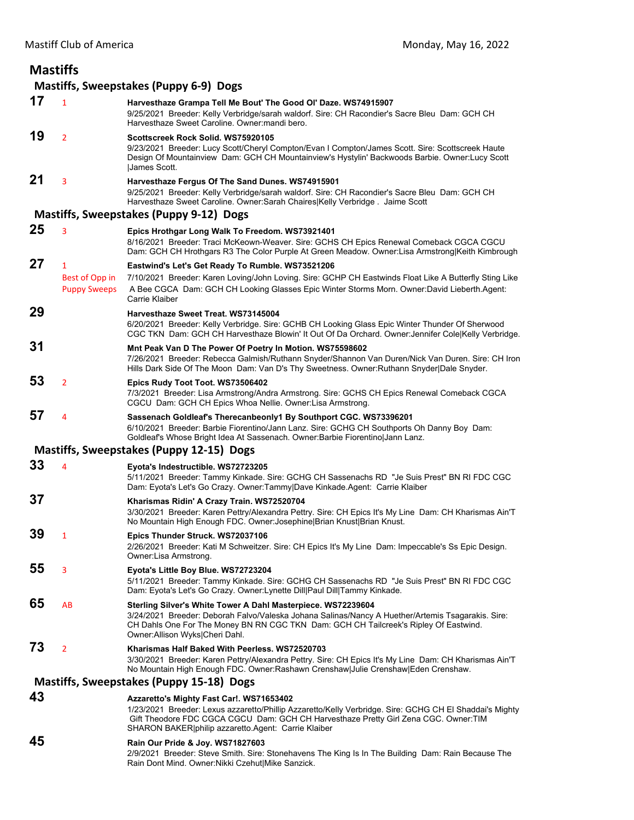| <b>Mastiffs</b> |                                        |                                                                                                                                                                                                                                                                                                     |  |  |
|-----------------|----------------------------------------|-----------------------------------------------------------------------------------------------------------------------------------------------------------------------------------------------------------------------------------------------------------------------------------------------------|--|--|
|                 | Mastiffs, Sweepstakes (Puppy 6-9) Dogs |                                                                                                                                                                                                                                                                                                     |  |  |
| 17              | $\mathbf{1}$                           | Harvesthaze Grampa Tell Me Bout' The Good OI' Daze. WS74915907<br>9/25/2021 Breeder: Kelly Verbridge/sarah waldorf. Sire: CH Racondier's Sacre Bleu Dam: GCH CH<br>Harvesthaze Sweet Caroline, Owner:mandi bero.                                                                                    |  |  |
| 19              | $\overline{2}$                         | Scottscreek Rock Solid. WS75920105<br>9/23/2021 Breeder: Lucy Scott/Cheryl Compton/Evan I Compton/James Scott. Sire: Scottscreek Haute<br>Design Of Mountainview Dam: GCH CH Mountainview's Hystylin' Backwoods Barbie. Owner:Lucy Scott<br>James Scott.                                            |  |  |
| 21              | 3                                      | Harvesthaze Fergus Of The Sand Dunes. WS74915901<br>9/25/2021 Breeder: Kelly Verbridge/sarah waldorf. Sire: CH Racondier's Sacre Bleu Dam: GCH CH<br>Harvesthaze Sweet Caroline. Owner:Sarah Chaires Kelly Verbridge. Jaime Scott                                                                   |  |  |
|                 |                                        | Mastiffs, Sweepstakes (Puppy 9-12) Dogs                                                                                                                                                                                                                                                             |  |  |
| 25              | 3                                      | Epics Hrothgar Long Walk To Freedom. WS73921401<br>8/16/2021 Breeder: Traci McKeown-Weaver. Sire: GCHS CH Epics Renewal Comeback CGCA CGCU<br>Dam: GCH CH Hrothgars R3 The Color Purple At Green Meadow. Owner:Lisa Armstrong Keith Kimbrough                                                       |  |  |
| 27              | $\mathbf{1}$                           | Eastwind's Let's Get Ready To Rumble. WS73521206                                                                                                                                                                                                                                                    |  |  |
|                 | Best of Opp in<br><b>Puppy Sweeps</b>  | 7/10/2021 Breeder: Karen Loving/John Loving. Sire: GCHP CH Eastwinds Float Like A Butterfly Sting Like<br>A Bee CGCA Dam: GCH CH Looking Glasses Epic Winter Storms Morn. Owner:David Lieberth.Agent:<br>Carrie Klaiber                                                                             |  |  |
| 29              |                                        | Harvesthaze Sweet Treat. WS73145004<br>6/20/2021 Breeder: Kelly Verbridge. Sire: GCHB CH Looking Glass Epic Winter Thunder Of Sherwood<br>CGC TKN Dam: GCH CH Harvesthaze Blowin' It Out Of Da Orchard. Owner: Jennifer Cole Kelly Verbridge.                                                       |  |  |
| 31              |                                        | Mnt Peak Van D The Power Of Poetry In Motion. WS75598602                                                                                                                                                                                                                                            |  |  |
|                 |                                        | 7/26/2021 Breeder: Rebecca Galmish/Ruthann Snyder/Shannon Van Duren/Nick Van Duren. Sire: CH Iron<br>Hills Dark Side Of The Moon Dam: Van D's Thy Sweetness. Owner: Ruthann Snyder Dale Snyder.                                                                                                     |  |  |
| 53              | $\overline{2}$                         | Epics Rudy Toot Toot. WS73506402<br>7/3/2021 Breeder: Lisa Armstrong/Andra Armstrong. Sire: GCHS CH Epics Renewal Comeback CGCA<br>CGCU Dam: GCH CH Epics Whoa Nellie. Owner: Lisa Armstrong.                                                                                                       |  |  |
| 57              | 4                                      | Sassenach Goldleaf's Therecanbeonly1 By Southport CGC. WS73396201<br>6/10/2021 Breeder: Barbie Fiorentino/Jann Lanz. Sire: GCHG CH Southports Oh Danny Boy Dam:<br>Goldleaf's Whose Bright Idea At Sassenach. Owner: Barbie Fiorentino Jann Lanz.                                                   |  |  |
|                 |                                        | Mastiffs, Sweepstakes (Puppy 12-15) Dogs                                                                                                                                                                                                                                                            |  |  |
| 33              | 4                                      | Eyota's Indestructible. WS72723205<br>5/11/2021 Breeder: Tammy Kinkade. Sire: GCHG CH Sassenachs RD "Je Suis Prest" BN RI FDC CGC<br>Dam: Eyota's Let's Go Crazy. Owner:Tammy Dave Kinkade.Agent: Carrie Klaiber                                                                                    |  |  |
| 37              |                                        | Kharismas Ridin' A Crazy Train. WS72520704<br>3/30/2021 Breeder: Karen Pettry/Alexandra Pettry. Sire: CH Epics It's My Line Dam: CH Kharismas Ain'T<br>No Mountain High Enough FDC. Owner: Josephine   Brian Knust   Brian Knust.                                                                   |  |  |
| 39              | 1                                      | Epics Thunder Struck. WS72037106<br>2/26/2021 Breeder: Kati M Schweitzer. Sire: CH Epics It's My Line Dam: Impeccable's Ss Epic Design.<br>Owner:Lisa Armstrong.                                                                                                                                    |  |  |
| 55              | 3                                      | Eyota's Little Boy Blue. WS72723204<br>5/11/2021 Breeder: Tammy Kinkade. Sire: GCHG CH Sassenachs RD "Je Suis Prest" BN RI FDC CGC<br>Dam: Eyota's Let's Go Crazy. Owner: Lynette Dill Paul Dill Tammy Kinkade.                                                                                     |  |  |
| 65              | AB                                     | Sterling Silver's White Tower A Dahl Masterpiece. WS72239604<br>3/24/2021 Breeder: Deborah Falvo/Valeska Johana Salinas/Nancy A Huether/Artemis Tsagarakis. Sire:<br>CH Dahls One For The Money BN RN CGC TKN Dam: GCH CH Tailcreek's Ripley Of Eastwind.<br>Owner: Allison Wyks Cheri Dahl.        |  |  |
| 73              | $\overline{2}$                         | Kharismas Half Baked With Peerless. WS72520703<br>3/30/2021 Breeder: Karen Pettry/Alexandra Pettry. Sire: CH Epics It's My Line Dam: CH Kharismas Ain'T<br>No Mountain High Enough FDC. Owner:Rashawn Crenshaw Julie Crenshaw Eden Crenshaw.                                                        |  |  |
|                 |                                        | Mastiffs, Sweepstakes (Puppy 15-18) Dogs                                                                                                                                                                                                                                                            |  |  |
| 43              |                                        | Azzaretto's Mighty Fast Car!. WS71653402<br>1/23/2021 Breeder: Lexus azzaretto/Phillip Azzaretto/Kelly Verbridge. Sire: GCHG CH El Shaddai's Mighty<br>Gift Theodore FDC CGCA CGCU Dam: GCH CH Harvesthaze Pretty Girl Zena CGC. Owner:TIM<br>SHARON BAKER   philip azzaretto Agent: Carrie Klaiber |  |  |
| 45              |                                        | Rain Our Pride & Joy. WS71827603<br>2/9/2021 Breeder: Steve Smith. Sire: Stonehavens The King Is In The Building Dam: Rain Because The<br>Rain Dont Mind. Owner: Nikki Czehut Mike Sanzick.                                                                                                         |  |  |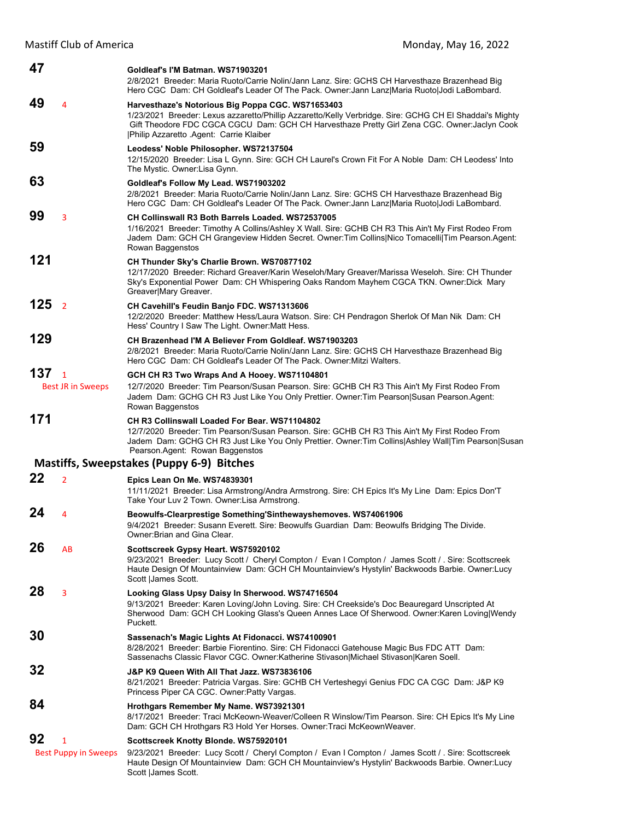| 47                                     | Goldleaf's I'M Batman, WS71903201<br>2/8/2021 Breeder: Maria Ruoto/Carrie Nolin/Jann Lanz. Sire: GCHS CH Harvesthaze Brazenhead Big<br>Hero CGC Dam: CH Goldleaf's Leader Of The Pack. Owner: Jann Lanz Maria Ruoto Jodi LaBombard.                                                                      |
|----------------------------------------|----------------------------------------------------------------------------------------------------------------------------------------------------------------------------------------------------------------------------------------------------------------------------------------------------------|
| 49<br>4                                | Harvesthaze's Notorious Big Poppa CGC. WS71653403<br>1/23/2021 Breeder: Lexus azzaretto/Phillip Azzaretto/Kelly Verbridge. Sire: GCHG CH El Shaddai's Mighty<br>Gift Theodore FDC CGCA CGCU Dam: GCH CH Harvesthaze Pretty Girl Zena CGC. Owner: Jaclyn Cook<br> Philip Azzaretto .Agent: Carrie Klaiber |
| 59                                     | Leodess' Noble Philosopher. WS72137504<br>12/15/2020 Breeder: Lisa L Gynn. Sire: GCH CH Laurel's Crown Fit For A Noble Dam: CH Leodess' Into<br>The Mystic. Owner: Lisa Gynn.                                                                                                                            |
| 63                                     | Goldleaf's Follow My Lead. WS71903202<br>2/8/2021 Breeder: Maria Ruoto/Carrie Nolin/Jann Lanz. Sire: GCHS CH Harvesthaze Brazenhead Big<br>Hero CGC Dam: CH Goldleaf's Leader Of The Pack. Owner: Jann Lanz Maria Ruoto Jodi LaBombard.                                                                  |
| 99<br>3                                | CH Collinswall R3 Both Barrels Loaded. WS72537005<br>1/16/2021 Breeder: Timothy A Collins/Ashley X Wall. Sire: GCHB CH R3 This Ain't My First Rodeo From<br>Jadem Dam: GCH CH Grangeview Hidden Secret. Owner: Tim Collins Nico Tomacelli Tim Pearson. Agent:<br>Rowan Baggenstos                        |
| 121                                    | CH Thunder Sky's Charlie Brown. WS70877102<br>12/17/2020 Breeder: Richard Greaver/Karin Weseloh/Mary Greaver/Marissa Weseloh. Sire: CH Thunder<br>Sky's Exponential Power Dam: CH Whispering Oaks Random Mayhem CGCA TKN. Owner:Dick Mary<br>Greaver Mary Greaver.                                       |
| 125 <sub>2</sub>                       | <b>CH Cavehill's Feudin Banjo FDC. WS71313606</b><br>12/2/2020 Breeder: Matthew Hess/Laura Watson. Sire: CH Pendragon Sherlok Of Man Nik Dam: CH<br>Hess' Country I Saw The Light. Owner: Matt Hess.                                                                                                     |
| 129                                    | CH Brazenhead I'M A Believer From Goldleaf. WS71903203<br>2/8/2021 Breeder: Maria Ruoto/Carrie Nolin/Jann Lanz. Sire: GCHS CH Harvesthaze Brazenhead Big<br>Hero CGC Dam: CH Goldleaf's Leader Of The Pack. Owner: Mitzi Walters.                                                                        |
| 137 <sub>1</sub>                       | GCH CH R3 Two Wraps And A Hooey. WS71104801                                                                                                                                                                                                                                                              |
| <b>Best JR in Sweeps</b>               | 12/7/2020 Breeder: Tim Pearson/Susan Pearson. Sire: GCHB CH R3 This Ain't My First Rodeo From<br>Jadem Dam: GCHG CH R3 Just Like You Only Prettier. Owner: Tim Pearson Susan Pearson. Agent:<br>Rowan Baggenstos                                                                                         |
| 171                                    | CH R3 Collinswall Loaded For Bear, WS71104802<br>12/7/2020 Breeder: Tim Pearson/Susan Pearson. Sire: GCHB CH R3 This Ain't My First Rodeo From<br>Jadem Dam: GCHG CH R3 Just Like You Only Prettier. Owner:Tim Collins Ashley Wall Tim Pearson Susan<br>Pearson.Agent: Rowan Baggenstos                  |
|                                        | Mastiffs, Sweepstakes (Puppy 6-9) Bitches                                                                                                                                                                                                                                                                |
| 22                                     |                                                                                                                                                                                                                                                                                                          |
| $\overline{2}$                         | Epics Lean On Me. WS74839301<br>11/11/2021 Breeder: Lisa Armstrong/Andra Armstrong. Sire: CH Epics It's My Line Dam: Epics Don'T<br>Take Your Luv 2 Town. Owner: Lisa Armstrong.                                                                                                                         |
| 24<br>4                                | Beowulfs-Clearprestige Something'Sinthewayshemoves. WS74061906<br>9/4/2021 Breeder: Susann Everett. Sire: Beowulfs Guardian Dam: Beowulfs Bridging The Divide.<br>Owner: Brian and Gina Clear.                                                                                                           |
| 26<br>AB                               | Scottscreek Gypsy Heart. WS75920102<br>9/23/2021 Breeder: Lucy Scott / Cheryl Compton / Evan I Compton / James Scott / . Sire: Scottscreek<br>Haute Design Of Mountainview Dam: GCH CH Mountainview's Hystylin' Backwoods Barbie. Owner: Lucy<br>Scott   James Scott.                                    |
| 28<br>3                                | Looking Glass Upsy Daisy In Sherwood. WS74716504<br>9/13/2021 Breeder: Karen Loving/John Loving. Sire: CH Creekside's Doc Beauregard Unscripted At<br>Sherwood Dam: GCH CH Looking Glass's Queen Annes Lace Of Sherwood. Owner: Karen Loving Wendy<br>Puckett.                                           |
| 30                                     | Sassenach's Magic Lights At Fidonacci. WS74100901<br>8/28/2021 Breeder: Barbie Fiorentino. Sire: CH Fidonacci Gatehouse Magic Bus FDC ATT Dam:<br>Sassenachs Classic Flavor CGC. Owner: Katherine Stivason Michael Stivason Karen Soell.                                                                 |
| 32                                     | J&P K9 Queen With All That Jazz. WS73836106<br>8/21/2021 Breeder: Patricia Vargas. Sire: GCHB CH Verteshegyi Genius FDC CA CGC Dam: J&P K9<br>Princess Piper CA CGC. Owner: Patty Vargas.                                                                                                                |
| 84                                     | Hrothgars Remember My Name. WS73921301<br>8/17/2021 Breeder: Traci McKeown-Weaver/Colleen R Winslow/Tim Pearson. Sire: CH Epics It's My Line<br>Dam: GCH CH Hrothgars R3 Hold Yer Horses. Owner: Traci McKeownWeaver.                                                                                    |
| 92<br>1<br><b>Best Puppy in Sweeps</b> | Scottscreek Knotty Blonde. WS75920101<br>9/23/2021 Breeder: Lucy Scott / Cheryl Compton / Evan I Compton / James Scott / . Sire: Scottscreek<br>Haute Design Of Mountainview Dam: GCH CH Mountainview's Hystylin' Backwoods Barbie. Owner: Lucy<br>Scott   James Scott.                                  |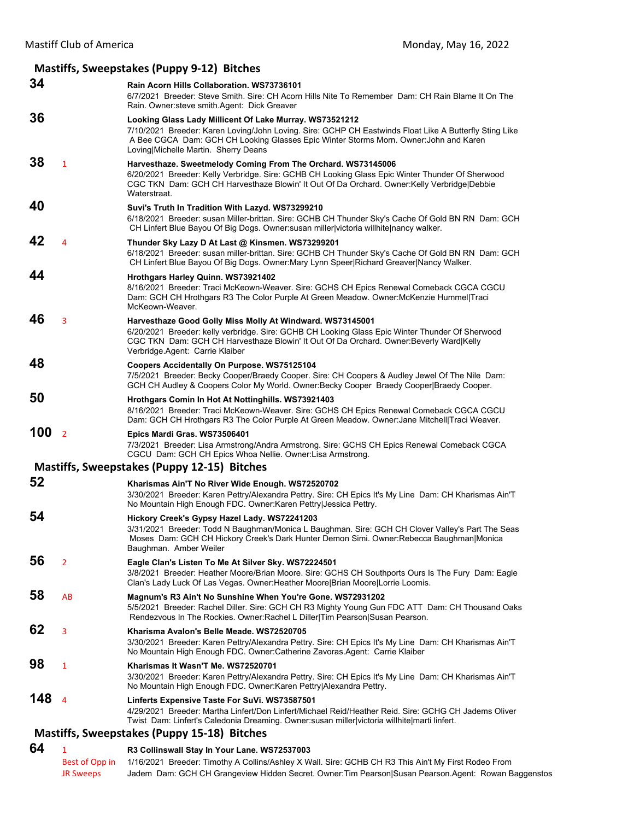## **Mastiffs, Sweepstakes (Puppy 9‐12) Bitches 34 Rain Acorn Hills Collaboration. WS73736101** 6/7/2021 Breeder: Steve Smith. Sire: CH Acorn Hills Nite To Remember Dam: CH Rain Blame It On The Rain. Owner:steve smith.Agent: Dick Greaver **36 Looking Glass Lady Millicent Of Lake Murray. WS73521212** 7/10/2021 Breeder: Karen Loving/John Loving. Sire: GCHP CH Eastwinds Float Like A Butterfly Sting Like A Bee CGCA Dam: GCH CH Looking Glasses Epic Winter Storms Morn. Owner:John and Karen Loving|Michelle Martin. Sherry Deans **38** <sup>1</sup> **Harvesthaze. Sweetmelody Coming From The Orchard. WS73145006** 6/20/2021 Breeder: Kelly Verbridge. Sire: GCHB CH Looking Glass Epic Winter Thunder Of Sherwood CGC TKN Dam: GCH CH Harvesthaze Blowin' It Out Of Da Orchard. Owner:Kelly Verbridge|Debbie Waterstraat. **40 Suvi's Truth In Tradition With Lazyd. WS73299210** 6/18/2021 Breeder: susan Miller-brittan. Sire: GCHB CH Thunder Sky's Cache Of Gold BN RN Dam: GCH CH Linfert Blue Bayou Of Big Dogs. Owner:susan miller|victoria willhite|nancy walker. **42** <sup>4</sup> **Thunder Sky Lazy D At Last @ Kinsmen. WS73299201** 6/18/2021 Breeder: susan miller-brittan. Sire: GCHB CH Thunder Sky's Cache Of Gold BN RN Dam: GCH CH Linfert Blue Bayou Of Big Dogs. Owner:Mary Lynn Speer|Richard Greaver|Nancy Walker. **44 Hrothgars Harley Quinn. WS73921402** 8/16/2021 Breeder: Traci McKeown-Weaver. Sire: GCHS CH Epics Renewal Comeback CGCA CGCU Dam: GCH CH Hrothgars R3 The Color Purple At Green Meadow. Owner:McKenzie Hummel|Traci McKeown-Weaver. **46** <sup>3</sup> **Harvesthaze Good Golly Miss Molly At Windward. WS73145001** 6/20/2021 Breeder: kelly verbridge. Sire: GCHB CH Looking Glass Epic Winter Thunder Of Sherwood CGC TKN Dam: GCH CH Harvesthaze Blowin' It Out Of Da Orchard. Owner:Beverly Ward|Kelly Verbridge.Agent: Carrie Klaiber **48 Coopers Accidentally On Purpose. WS75125104** 7/5/2021 Breeder: Becky Cooper/Braedy Cooper. Sire: CH Coopers & Audley Jewel Of The Nile Dam: GCH CH Audley & Coopers Color My World. Owner:Becky Cooper Braedy Cooper|Braedy Cooper. **50 Hrothgars Comin In Hot At Nottinghills. WS73921403** 8/16/2021 Breeder: Traci McKeown-Weaver. Sire: GCHS CH Epics Renewal Comeback CGCA CGCU Dam: GCH CH Hrothgars R3 The Color Purple At Green Meadow. Owner:Jane Mitchell|Traci Weaver. **100** <sup>2</sup> **Epics Mardi Gras. WS73506401** 7/3/2021 Breeder: Lisa Armstrong/Andra Armstrong. Sire: GCHS CH Epics Renewal Comeback CGCA CGCU Dam: GCH CH Epics Whoa Nellie. Owner:Lisa Armstrong. **Mastiffs, Sweepstakes (Puppy 12‐15) Bitches 52 Kharismas Ain'T No River Wide Enough. WS72520702** 3/30/2021 Breeder: Karen Pettry/Alexandra Pettry. Sire: CH Epics It's My Line Dam: CH Kharismas Ain'T No Mountain High Enough FDC. Owner:Karen Pettry|Jessica Pettry. **54 Hickory Creek's Gypsy Hazel Lady. WS72241203** 3/31/2021 Breeder: Todd N Baughman/Monica L Baughman. Sire: GCH CH Clover Valley's Part The Seas Moses Dam: GCH CH Hickory Creek's Dark Hunter Demon Simi. Owner:Rebecca Baughman|Monica Baughman. Amber Weiler **56** <sup>2</sup> **Eagle Clan's Listen To Me At Silver Sky. WS72224501** 3/8/2021 Breeder: Heather Moore/Brian Moore. Sire: GCHS CH Southports Ours Is The Fury Dam: Eagle Clan's Lady Luck Of Las Vegas. Owner:Heather Moore|Brian Moore|Lorrie Loomis. **58** AB **Magnum's R3 Ain't No Sunshine When You're Gone. WS72931202** 5/5/2021 Breeder: Rachel Diller. Sire: GCH CH R3 Mighty Young Gun FDC ATT Dam: CH Thousand Oaks Rendezvous In The Rockies. Owner:Rachel L Diller|Tim Pearson|Susan Pearson. **62** <sup>3</sup> **Kharisma Avalon's Belle Meade. WS72520705** 3/30/2021 Breeder: Karen Pettry/Alexandra Pettry. Sire: CH Epics It's My Line Dam: CH Kharismas Ain'T No Mountain High Enough FDC. Owner:Catherine Zavoras.Agent: Carrie Klaiber **98** <sup>1</sup> **Kharismas It Wasn'T Me. WS72520701** 3/30/2021 Breeder: Karen Pettry/Alexandra Pettry. Sire: CH Epics It's My Line Dam: CH Kharismas Ain'T No Mountain High Enough FDC. Owner:Karen Pettry|Alexandra Pettry. **148** <sup>4</sup> **Linferts Expensive Taste For SuVi. WS73587501** 4/29/2021 Breeder: Martha Linfert/Don Linfert/Michael Reid/Heather Reid. Sire: GCHG CH Jadems Oliver Twist Dam: Linfert's Caledonia Dreaming. Owner:susan miller|victoria willhite|marti linfert. **Mastiffs, Sweepstakes (Puppy 15‐18) Bitches**

| 64 |                  | R3 Collinswall Stay In Your Lane. WS72537003                                                                       |
|----|------------------|--------------------------------------------------------------------------------------------------------------------|
|    |                  | Best of Opp in 1/16/2021 Breeder: Timothy A Collins/Ashley X Wall. Sire: GCHB CH R3 This Ain't My First Rodeo From |
|    | <b>JR Sweeps</b> | Jadem Dam: GCH CH Grangeview Hidden Secret. Owner: Tim Pearson Susan Pearson. Agent: Rowan Baggenstos              |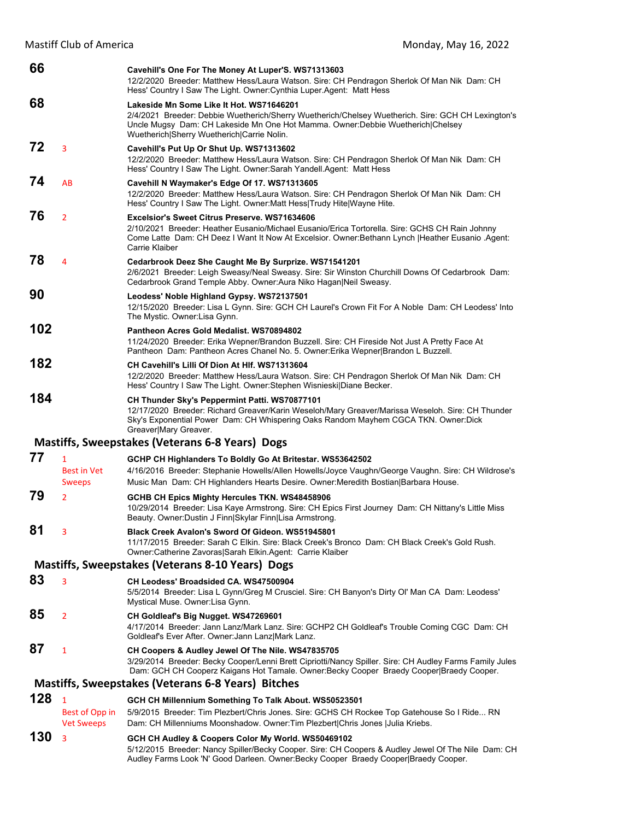Mastiff Club of America **Mastiff Club of America America America Monday, May 16, 2022** 

| 66  |                                                     | Cavehill's One For The Money At Luper'S. WS71313603<br>12/2/2020 Breeder: Matthew Hess/Laura Watson. Sire: CH Pendragon Sherlok Of Man Nik Dam: CH<br>Hess' Country I Saw The Light. Owner: Cynthia Luper. Agent: Matt Hess                                                    |
|-----|-----------------------------------------------------|--------------------------------------------------------------------------------------------------------------------------------------------------------------------------------------------------------------------------------------------------------------------------------|
| 68  |                                                     | Lakeside Mn Some Like It Hot. WS71646201<br>2/4/2021 Breeder: Debbie Wuetherich/Sherry Wuetherich/Chelsey Wuetherich. Sire: GCH CH Lexington's<br>Uncle Mugsy Dam: CH Lakeside Mn One Hot Mamma. Owner:Debbie Wuetherich Chelsey<br>Wuetherich Sherry Wuetherich Carrie Nolin. |
| 72  | 3                                                   | Cavehill's Put Up Or Shut Up. WS71313602<br>12/2/2020 Breeder: Matthew Hess/Laura Watson. Sire: CH Pendragon Sherlok Of Man Nik Dam: CH<br>Hess' Country I Saw The Light. Owner:Sarah Yandell.Agent: Matt Hess                                                                 |
| 74  | AB                                                  | Cavehill N Waymaker's Edge Of 17. WS71313605<br>12/2/2020 Breeder: Matthew Hess/Laura Watson. Sire: CH Pendragon Sherlok Of Man Nik Dam: CH<br>Hess' Country I Saw The Light. Owner: Matt Hess Trudy Hite Wayne Hite.                                                          |
| 76  | $\overline{2}$                                      | Excelsior's Sweet Citrus Preserve, WS71634606<br>2/10/2021 Breeder: Heather Eusanio/Michael Eusanio/Erica Tortorella. Sire: GCHS CH Rain Johnny<br>Come Latte Dam: CH Deez I Want It Now At Excelsior. Owner: Bethann Lynch   Heather Eusanio . Agent:<br>Carrie Klaiber       |
| 78  | 4                                                   | Cedarbrook Deez She Caught Me By Surprize. WS71541201<br>2/6/2021 Breeder: Leigh Sweasy/Neal Sweasy. Sire: Sir Winston Churchill Downs Of Cedarbrook Dam:<br>Cedarbrook Grand Temple Abby. Owner: Aura Niko Hagan Neil Sweasy.                                                 |
| 90  |                                                     | Leodess' Noble Highland Gypsy. WS72137501<br>12/15/2020 Breeder: Lisa L Gynn. Sire: GCH CH Laurel's Crown Fit For A Noble Dam: CH Leodess' Into<br>The Mystic. Owner: Lisa Gynn.                                                                                               |
| 102 |                                                     | Pantheon Acres Gold Medalist, WS70894802<br>11/24/2020 Breeder: Erika Wepner/Brandon Buzzell. Sire: CH Fireside Not Just A Pretty Face At<br>Pantheon Dam: Pantheon Acres Chanel No. 5. Owner: Erika Wepner Brandon L Buzzell.                                                 |
| 182 |                                                     | CH Cavehill's Lilli Of Dion At HIf. WS71313604<br>12/2/2020 Breeder: Matthew Hess/Laura Watson. Sire: CH Pendragon Sherlok Of Man Nik Dam: CH<br>Hess' Country I Saw The Light. Owner: Stephen Wisnieski Diane Becker.                                                         |
| 184 |                                                     | CH Thunder Sky's Peppermint Patti. WS70877101<br>12/17/2020 Breeder: Richard Greaver/Karin Weseloh/Mary Greaver/Marissa Weseloh. Sire: CH Thunder<br>Sky's Exponential Power Dam: CH Whispering Oaks Random Mayhem CGCA TKN. Owner: Dick<br>Greaver Mary Greaver.              |
|     |                                                     | Mastiffs, Sweepstakes (Veterans 6-8 Years) Dogs                                                                                                                                                                                                                                |
| 77  | $\mathbf{1}$<br><b>Best in Vet</b>                  | GCHP CH Highlanders To Boldly Go At Britestar. WS53642502<br>4/16/2016 Breeder: Stephanie Howells/Allen Howells/Joyce Vaughn/George Vaughn. Sire: CH Wildrose's                                                                                                                |
|     | <b>Sweeps</b>                                       | Music Man Dam: CH Highlanders Hearts Desire. Owner: Meredith Bostian   Barbara House.                                                                                                                                                                                          |
| 79  | $\overline{2}$                                      | GCHB CH Epics Mighty Hercules TKN. WS48458906<br>10/29/2014 Breeder: Lisa Kaye Armstrong. Sire: CH Epics First Journey Dam: CH Nittany's Little Miss<br>Beauty. Owner: Dustin J Finn Skylar Finn Lisa Armstrong.                                                               |
| 81  | 3                                                   | Black Creek Avalon's Sword Of Gideon. WS51945801<br>11/17/2015 Breeder: Sarah C Elkin. Sire: Black Creek's Bronco Dam: CH Black Creek's Gold Rush.<br>Owner:Catherine Zavoras Sarah Elkin.Agent: Carrie Klaiber                                                                |
|     |                                                     | Mastiffs, Sweepstakes (Veterans 8-10 Years) Dogs                                                                                                                                                                                                                               |
| 83  | 3                                                   | CH Leodess' Broadsided CA. WS47500904<br>5/5/2014 Breeder: Lisa L Gynn/Greg M Crusciel. Sire: CH Banyon's Dirty Ol' Man CA Dam: Leodess'<br>Mystical Muse. Owner:Lisa Gynn.                                                                                                    |
| 85  | $\overline{2}$                                      | CH Goldleaf's Big Nugget. WS47269601<br>4/17/2014 Breeder: Jann Lanz/Mark Lanz. Sire: GCHP2 CH Goldleaf's Trouble Coming CGC Dam: CH<br>Goldleaf's Ever After. Owner: Jann Lanz Mark Lanz.                                                                                     |
| 87  | $\mathbf{1}$                                        | CH Coopers & Audley Jewel Of The Nile. WS47835705<br>3/29/2014 Breeder: Becky Cooper/Lenni Brett Cipriotti/Nancy Spiller. Sire: CH Audley Farms Family Jules<br>Dam: GCH CH Cooperz Kaigans Hot Tamale. Owner: Becky Cooper Braedy Cooper Braedy Cooper.                       |
|     |                                                     | <b>Mastiffs, Sweepstakes (Veterans 6-8 Years) Bitches</b>                                                                                                                                                                                                                      |
| 128 | $\mathbf{1}$<br>Best of Opp in<br><b>Vet Sweeps</b> | GCH CH Millennium Something To Talk About. WS50523501<br>5/9/2015 Breeder: Tim Plezbert/Chris Jones. Sire: GCHS CH Rockee Top Gatehouse So I Ride RN<br>Dam: CH Millenniums Moonshadow. Owner: Tim Plezbert Chris Jones Julia Kriebs.                                          |
| 130 | 3                                                   | GCH CH Audley & Coopers Color My World. WS50469102<br>5/12/2015 Breeder: Nancy Spiller/Becky Cooper. Sire: CH Coopers & Audley Jewel Of The Nile Dam: CH<br>Audley Farms Look 'N' Good Darleen. Owner: Becky Cooper Braedy Cooper Braedy Cooper.                               |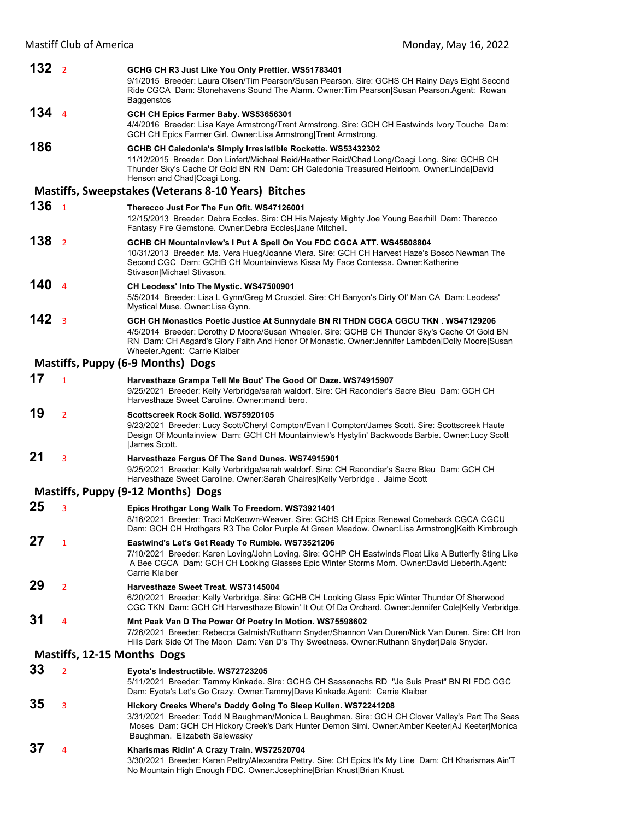| 132 <sub>2</sub> |                                    | GCHG CH R3 Just Like You Only Prettier. WS51783401<br>9/1/2015 Breeder: Laura Olsen/Tim Pearson/Susan Pearson. Sire: GCHS CH Rainy Days Eight Second<br>Ride CGCA Dam: Stonehavens Sound The Alarm. Owner: Tim Pearson Susan Pearson. Agent: Rowan<br>Baggenstos                                                         |
|------------------|------------------------------------|--------------------------------------------------------------------------------------------------------------------------------------------------------------------------------------------------------------------------------------------------------------------------------------------------------------------------|
| 1344             |                                    | GCH CH Epics Farmer Baby. WS53656301<br>4/4/2016 Breeder: Lisa Kaye Armstrong/Trent Armstrong. Sire: GCH CH Eastwinds Ivory Touche Dam:<br>GCH CH Epics Farmer Girl. Owner: Lisa Armstrong Trent Armstrong.                                                                                                              |
| 186              |                                    | GCHB CH Caledonia's Simply Irresistible Rockette. WS53432302<br>11/12/2015 Breeder: Don Linfert/Michael Reid/Heather Reid/Chad Long/Coagi Long. Sire: GCHB CH<br>Thunder Sky's Cache Of Gold BN RN Dam: CH Caledonia Treasured Heirloom. Owner:Linda David<br>Henson and Chad Coagi Long.                                |
|                  |                                    | <b>Mastiffs, Sweepstakes (Veterans 8-10 Years) Bitches</b>                                                                                                                                                                                                                                                               |
| 136              | $\overline{1}$                     | Therecco Just For The Fun Ofit. WS47126001<br>12/15/2013 Breeder: Debra Eccles. Sire: CH His Majesty Mighty Joe Young Bearhill Dam: Therecco<br>Fantasy Fire Gemstone. Owner: Debra Eccles Jane Mitchell.                                                                                                                |
| 138              | $\overline{2}$                     | GCHB CH Mountainview's I Put A Spell On You FDC CGCA ATT. WS45808804<br>10/31/2013 Breeder: Ms. Vera Hueg/Joanne Viera. Sire: GCH CH Harvest Haze's Bosco Newman The<br>Second CGC Dam: GCHB CH Mountainviews Kissa My Face Contessa. Owner: Katherine<br>Stivason Michael Stivason.                                     |
| 140              | $\overline{4}$                     | CH Leodess' Into The Mystic. WS47500901<br>5/5/2014 Breeder: Lisa L Gynn/Greg M Crusciel. Sire: CH Banyon's Dirty Ol' Man CA Dam: Leodess'<br>Mystical Muse. Owner:Lisa Gynn.                                                                                                                                            |
| 142              | $\overline{3}$                     | GCH CH Monastics Poetic Justice At Sunnydale BN RI THDN CGCA CGCU TKN . WS47129206<br>4/5/2014 Breeder: Dorothy D Moore/Susan Wheeler. Sire: GCHB CH Thunder Sky's Cache Of Gold BN<br>RN Dam: CH Asgard's Glory Faith And Honor Of Monastic. Owner: Jennifer Lambden Dolly Moore Susan<br>Wheeler Agent: Carrie Klaiber |
|                  |                                    | Mastiffs, Puppy (6-9 Months) Dogs                                                                                                                                                                                                                                                                                        |
| 17               | $\mathbf{1}$                       | Harvesthaze Grampa Tell Me Bout' The Good OI' Daze. WS74915907<br>9/25/2021 Breeder: Kelly Verbridge/sarah waldorf. Sire: CH Racondier's Sacre Bleu Dam: GCH CH<br>Harvesthaze Sweet Caroline. Owner: mandi bero.                                                                                                        |
| 19               | $\overline{2}$                     | Scottscreek Rock Solid. WS75920105<br>9/23/2021 Breeder: Lucy Scott/Cheryl Compton/Evan I Compton/James Scott. Sire: Scottscreek Haute<br>Design Of Mountainview Dam: GCH CH Mountainview's Hystylin' Backwoods Barbie. Owner:Lucy Scott<br>James Scott.                                                                 |
| 21               | 3                                  | Harvesthaze Fergus Of The Sand Dunes. WS74915901<br>9/25/2021 Breeder: Kelly Verbridge/sarah waldorf. Sire: CH Racondier's Sacre Bleu Dam: GCH CH<br>Harvesthaze Sweet Caroline. Owner: Sarah Chaires Kelly Verbridge. Jaime Scott                                                                                       |
|                  |                                    | Mastiffs, Puppy (9-12 Months) Dogs                                                                                                                                                                                                                                                                                       |
| 25               | 3                                  | Epics Hrothgar Long Walk To Freedom. WS73921401<br>8/16/2021 Breeder: Traci McKeown-Weaver. Sire: GCHS CH Epics Renewal Comeback CGCA CGCU<br>Dam: GCH CH Hrothgars R3 The Color Purple At Green Meadow. Owner:Lisa Armstrong Keith Kimbrough                                                                            |
| 27               | $\mathbf{1}$                       | Eastwind's Let's Get Ready To Rumble. WS73521206<br>7/10/2021 Breeder: Karen Loving/John Loving. Sire: GCHP CH Eastwinds Float Like A Butterfly Sting Like<br>A Bee CGCA Dam: GCH CH Looking Glasses Epic Winter Storms Morn. Owner:David Lieberth.Agent:<br>Carrie Klaiber                                              |
| 29               | $\overline{2}$                     | Harvesthaze Sweet Treat. WS73145004<br>6/20/2021 Breeder: Kelly Verbridge. Sire: GCHB CH Looking Glass Epic Winter Thunder Of Sherwood<br>CGC TKN Dam: GCH CH Harvesthaze Blowin' It Out Of Da Orchard. Owner: Jennifer Cole Kelly Verbridge.                                                                            |
| 31               | 4                                  | Mnt Peak Van D The Power Of Poetry In Motion. WS75598602<br>7/26/2021 Breeder: Rebecca Galmish/Ruthann Snyder/Shannon Van Duren/Nick Van Duren. Sire: CH Iron<br>Hills Dark Side Of The Moon Dam: Van D's Thy Sweetness. Owner: Ruthann Snyder Dale Snyder.                                                              |
|                  | <b>Mastiffs, 12-15 Months Dogs</b> |                                                                                                                                                                                                                                                                                                                          |
| 33               | $\overline{2}$                     | Eyota's Indestructible. WS72723205<br>5/11/2021 Breeder: Tammy Kinkade. Sire: GCHG CH Sassenachs RD "Je Suis Prest" BN RI FDC CGC<br>Dam: Eyota's Let's Go Crazy. Owner:Tammy Dave Kinkade.Agent: Carrie Klaiber                                                                                                         |
| 35               | 3                                  | Hickory Creeks Where's Daddy Going To Sleep Kullen. WS72241208<br>3/31/2021 Breeder: Todd N Baughman/Monica L Baughman. Sire: GCH CH Clover Valley's Part The Seas<br>Moses Dam: GCH CH Hickory Creek's Dark Hunter Demon Simi. Owner: Amber Keeter AJ Keeter Monica<br>Baughman. Elizabeth Salewasky                    |
| 37               | 4                                  | Kharismas Ridin' A Crazy Train. WS72520704<br>3/30/2021 Breeder: Karen Pettry/Alexandra Pettry. Sire: CH Epics It's My Line Dam: CH Kharismas Ain'T<br>No Mountain High Enough FDC. Owner: Josephine Brian Knust Brian Knust.                                                                                            |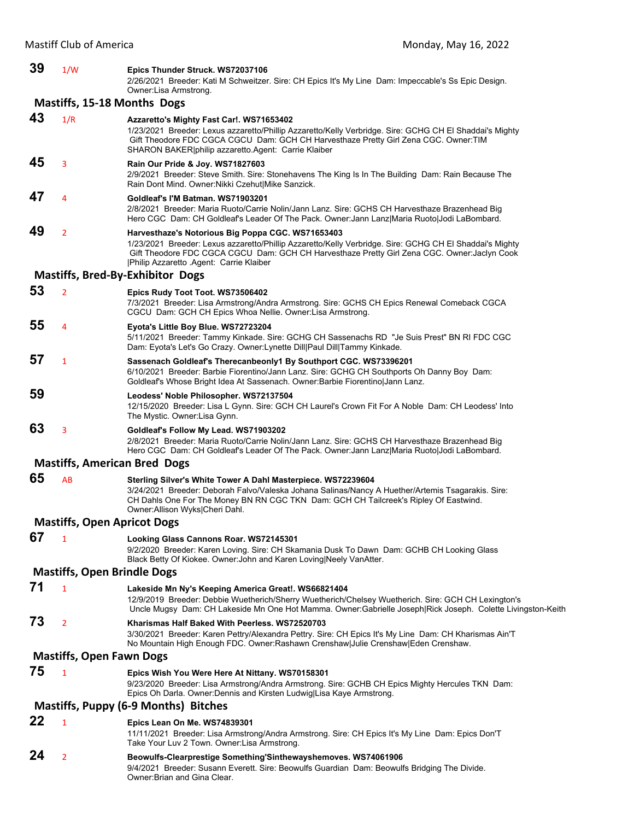| 39 | 1/W                                | Epics Thunder Struck. WS72037106<br>2/26/2021 Breeder: Kati M Schweitzer. Sire: CH Epics It's My Line Dam: Impeccable's Ss Epic Design.<br>Owner:Lisa Armstrong.                                                                                                                                         |  |  |  |
|----|------------------------------------|----------------------------------------------------------------------------------------------------------------------------------------------------------------------------------------------------------------------------------------------------------------------------------------------------------|--|--|--|
|    | <b>Mastiffs, 15-18 Months Dogs</b> |                                                                                                                                                                                                                                                                                                          |  |  |  |
| 43 | 1/R                                | Azzaretto's Mighty Fast Car!. WS71653402<br>1/23/2021 Breeder: Lexus azzaretto/Phillip Azzaretto/Kelly Verbridge. Sire: GCHG CH El Shaddai's Mighty<br>Gift Theodore FDC CGCA CGCU Dam: GCH CH Harvesthaze Pretty Girl Zena CGC. Owner: TIM<br>SHARON BAKER philip azzaretto.Agent: Carrie Klaiber       |  |  |  |
| 45 | 3                                  | Rain Our Pride & Joy. WS71827603<br>2/9/2021 Breeder: Steve Smith. Sire: Stonehavens The King Is In The Building Dam: Rain Because The<br>Rain Dont Mind. Owner: Nikki Czehut Mike Sanzick.                                                                                                              |  |  |  |
| 47 | 4                                  | Goldleaf's I'M Batman. WS71903201<br>2/8/2021 Breeder: Maria Ruoto/Carrie Nolin/Jann Lanz. Sire: GCHS CH Harvesthaze Brazenhead Big<br>Hero CGC Dam: CH Goldleaf's Leader Of The Pack. Owner: Jann Lanz Maria Ruoto Jodi LaBombard.                                                                      |  |  |  |
| 49 | $\overline{2}$                     | Harvesthaze's Notorious Big Poppa CGC. WS71653403<br>1/23/2021 Breeder: Lexus azzaretto/Phillip Azzaretto/Kelly Verbridge. Sire: GCHG CH El Shaddai's Mighty<br>Gift Theodore FDC CGCA CGCU Dam: GCH CH Harvesthaze Pretty Girl Zena CGC. Owner: Jaclyn Cook<br> Philip Azzaretto .Agent: Carrie Klaiber |  |  |  |
|    |                                    | <b>Mastiffs, Bred-By-Exhibitor Dogs</b>                                                                                                                                                                                                                                                                  |  |  |  |
| 53 | $\overline{2}$                     | Epics Rudy Toot Toot. WS73506402<br>7/3/2021 Breeder: Lisa Armstrong/Andra Armstrong. Sire: GCHS CH Epics Renewal Comeback CGCA<br>CGCU Dam: GCH CH Epics Whoa Nellie. Owner: Lisa Armstrong.                                                                                                            |  |  |  |
| 55 | $\overline{4}$                     | Eyota's Little Boy Blue. WS72723204<br>5/11/2021 Breeder: Tammy Kinkade. Sire: GCHG CH Sassenachs RD "Je Suis Prest" BN RI FDC CGC<br>Dam: Eyota's Let's Go Crazy. Owner:Lynette Dill Paul Dill Tammy Kinkade.                                                                                           |  |  |  |
| 57 | $\mathbf{1}$                       | Sassenach Goldleaf's Therecanbeonly1 By Southport CGC. WS73396201<br>6/10/2021 Breeder: Barbie Fiorentino/Jann Lanz. Sire: GCHG CH Southports Oh Danny Boy Dam:<br>Goldleaf's Whose Bright Idea At Sassenach. Owner:Barbie Fiorentino Jann Lanz.                                                         |  |  |  |
| 59 |                                    | Leodess' Noble Philosopher. WS72137504<br>12/15/2020 Breeder: Lisa L Gynn. Sire: GCH CH Laurel's Crown Fit For A Noble Dam: CH Leodess' Into<br>The Mystic. Owner:Lisa Gynn.                                                                                                                             |  |  |  |
| 63 | 3                                  | Goldleaf's Follow My Lead. WS71903202<br>2/8/2021 Breeder: Maria Ruoto/Carrie Nolin/Jann Lanz. Sire: GCHS CH Harvesthaze Brazenhead Big<br>Hero CGC Dam: CH Goldleaf's Leader Of The Pack. Owner: Jann Lanz Maria Ruoto Jodi LaBombard.                                                                  |  |  |  |
|    |                                    | <b>Mastiffs, American Bred Dogs</b>                                                                                                                                                                                                                                                                      |  |  |  |
| 65 | AB                                 | Sterling Silver's White Tower A Dahl Masterpiece. WS72239604<br>3/24/2021 Breeder: Deborah Falvo/Valeska Johana Salinas/Nancy A Huether/Artemis Tsagarakis. Sire:<br>CH Dahls One For The Money BN RN CGC TKN Dam: GCH CH Tailcreek's Ripley Of Eastwind.<br>Owner: Allison Wyks Cheri Dahl.             |  |  |  |
|    | <b>Mastiffs, Open Apricot Dogs</b> |                                                                                                                                                                                                                                                                                                          |  |  |  |
| 67 | $\mathbf{1}$                       | Looking Glass Cannons Roar. WS72145301<br>9/2/2020 Breeder: Karen Loving. Sire: CH Skamania Dusk To Dawn Dam: GCHB CH Looking Glass<br>Black Betty Of Kiokee. Owner: John and Karen Loving Neely Van Atter.                                                                                              |  |  |  |
|    | <b>Mastiffs, Open Brindle Dogs</b> |                                                                                                                                                                                                                                                                                                          |  |  |  |
| 71 | 1                                  | Lakeside Mn Ny's Keeping America Great!. WS66821404<br>12/9/2019 Breeder: Debbie Wuetherich/Sherry Wuetherich/Chelsey Wuetherich. Sire: GCH CH Lexington's<br>Uncle Mugsy Dam: CH Lakeside Mn One Hot Mamma. Owner:Gabrielle Joseph Rick Joseph. Colette Livingston-Keith                                |  |  |  |
| 73 | $\overline{2}$                     | Kharismas Half Baked With Peerless. WS72520703<br>3/30/2021 Breeder: Karen Pettry/Alexandra Pettry. Sire: CH Epics It's My Line Dam: CH Kharismas Ain'T<br>No Mountain High Enough FDC. Owner:Rashawn Crenshaw Julie Crenshaw Eden Crenshaw.                                                             |  |  |  |
|    | <b>Mastiffs, Open Fawn Dogs</b>    |                                                                                                                                                                                                                                                                                                          |  |  |  |
| 75 | $\mathbf{1}$                       | Epics Wish You Were Here At Nittany. WS70158301<br>9/23/2020 Breeder: Lisa Armstrong/Andra Armstrong. Sire: GCHB CH Epics Mighty Hercules TKN Dam:<br>Epics Oh Darla. Owner: Dennis and Kirsten Ludwig Lisa Kaye Armstrong.                                                                              |  |  |  |
|    |                                    | Mastiffs, Puppy (6-9 Months) Bitches                                                                                                                                                                                                                                                                     |  |  |  |
| 22 | $\mathbf{1}$                       | Epics Lean On Me. WS74839301<br>11/11/2021 Breeder: Lisa Armstrong/Andra Armstrong. Sire: CH Epics It's My Line Dam: Epics Don'T<br>Take Your Luv 2 Town. Owner: Lisa Armstrong.                                                                                                                         |  |  |  |
| 24 | $\overline{2}$                     | Beowulfs-Clearprestige Something'Sinthewayshemoves. WS74061906<br>9/4/2021 Breeder: Susann Everett. Sire: Beowulfs Guardian Dam: Beowulfs Bridging The Divide.                                                                                                                                           |  |  |  |

Owner:Brian and Gina Clear.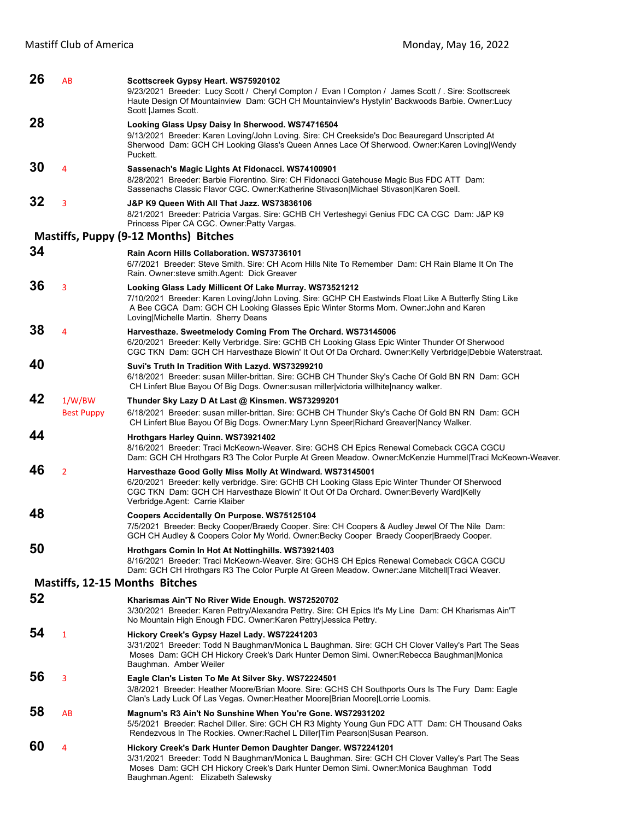| 26 | AB                          | Scottscreek Gypsy Heart. WS75920102<br>9/23/2021 Breeder: Lucy Scott / Cheryl Compton / Evan I Compton / James Scott / Sire: Scottscreek<br>Haute Design Of Mountainview Dam: GCH CH Mountainview's Hystylin' Backwoods Barbie. Owner: Lucy<br>Scott James Scott.                                  |
|----|-----------------------------|----------------------------------------------------------------------------------------------------------------------------------------------------------------------------------------------------------------------------------------------------------------------------------------------------|
| 28 |                             | Looking Glass Upsy Daisy In Sherwood. WS74716504<br>9/13/2021 Breeder: Karen Loving/John Loving. Sire: CH Creekside's Doc Beauregard Unscripted At<br>Sherwood Dam: GCH CH Looking Glass's Queen Annes Lace Of Sherwood. Owner:Karen Loving Wendy<br>Puckett.                                      |
| 30 | 4                           | Sassenach's Magic Lights At Fidonacci. WS74100901<br>8/28/2021 Breeder: Barbie Fiorentino. Sire: CH Fidonacci Gatehouse Magic Bus FDC ATT Dam:<br>Sassenachs Classic Flavor CGC. Owner: Katherine Stivason Michael Stivason Karen Soell.                                                           |
| 32 | 3                           | J&P K9 Queen With All That Jazz. WS73836106<br>8/21/2021 Breeder: Patricia Vargas. Sire: GCHB CH Verteshegyi Genius FDC CA CGC Dam: J&P K9<br>Princess Piper CA CGC. Owner: Patty Vargas.                                                                                                          |
|    |                             | Mastiffs, Puppy (9-12 Months) Bitches                                                                                                                                                                                                                                                              |
| 34 |                             | Rain Acorn Hills Collaboration. WS73736101<br>6/7/2021 Breeder: Steve Smith. Sire: CH Acorn Hills Nite To Remember Dam: CH Rain Blame It On The<br>Rain. Owner: steve smith. Agent: Dick Greaver                                                                                                   |
| 36 | 3                           | Looking Glass Lady Millicent Of Lake Murray. WS73521212<br>7/10/2021 Breeder: Karen Loving/John Loving. Sire: GCHP CH Eastwinds Float Like A Butterfly Sting Like<br>A Bee CGCA Dam: GCH CH Looking Glasses Epic Winter Storms Morn. Owner: John and Karen<br>Loving Michelle Martin. Sherry Deans |
| 38 | 4                           | Harvesthaze. Sweetmelody Coming From The Orchard. WS73145006<br>6/20/2021 Breeder: Kelly Verbridge. Sire: GCHB CH Looking Glass Epic Winter Thunder Of Sherwood<br>CGC TKN Dam: GCH CH Harvesthaze Blowin' It Out Of Da Orchard. Owner: Kelly Verbridge Debbie Waterstraat.                        |
| 40 |                             | Suvi's Truth In Tradition With Lazyd. WS73299210<br>6/18/2021 Breeder: susan Miller-brittan. Sire: GCHB CH Thunder Sky's Cache Of Gold BN RN Dam: GCH<br>CH Linfert Blue Bayou Of Big Dogs. Owner:susan miller victoria willhite nancy walker.                                                     |
| 42 | 1/W/BW<br><b>Best Puppy</b> | Thunder Sky Lazy D At Last @ Kinsmen. WS73299201<br>6/18/2021 Breeder: susan miller-brittan. Sire: GCHB CH Thunder Sky's Cache Of Gold BN RN Dam: GCH<br>CH Linfert Blue Bayou Of Big Dogs. Owner: Mary Lynn Speer Richard Greaver   Nancy Walker.                                                 |
| 44 |                             | Hrothgars Harley Quinn. WS73921402<br>8/16/2021 Breeder: Traci McKeown-Weaver. Sire: GCHS CH Epics Renewal Comeback CGCA CGCU<br>Dam: GCH CH Hrothgars R3 The Color Purple At Green Meadow. Owner: McKenzie Hummel Traci McKeown-Weaver.                                                           |
| 46 | $\overline{2}$              | Harvesthaze Good Golly Miss Molly At Windward. WS73145001<br>6/20/2021 Breeder: kelly verbridge. Sire: GCHB CH Looking Glass Epic Winter Thunder Of Sherwood<br>CGC TKN Dam: GCH CH Harvesthaze Blowin' It Out Of Da Orchard. Owner:Beverly Ward Kelly<br>Verbridge.Agent: Carrie Klaiber          |
| 48 |                             |                                                                                                                                                                                                                                                                                                    |
|    |                             | Coopers Accidentally On Purpose. WS75125104<br>7/5/2021 Breeder: Becky Cooper/Braedy Cooper. Sire: CH Coopers & Audley Jewel Of The Nile Dam:<br>GCH CH Audley & Coopers Color My World. Owner:Becky Cooper Braedy Cooper Braedy Cooper.                                                           |
| 50 |                             | Hrothgars Comin In Hot At Nottinghills. WS73921403<br>8/16/2021 Breeder: Traci McKeown-Weaver. Sire: GCHS CH Epics Renewal Comeback CGCA CGCU<br>Dam: GCH CH Hrothgars R3 The Color Purple At Green Meadow. Owner: Jane Mitchell Traci Weaver.                                                     |
|    |                             | <b>Mastiffs, 12-15 Months Bitches</b>                                                                                                                                                                                                                                                              |
| 52 |                             | Kharismas Ain'T No River Wide Enough. WS72520702<br>3/30/2021 Breeder: Karen Pettry/Alexandra Pettry. Sire: CH Epics It's My Line Dam: CH Kharismas Ain'T<br>No Mountain High Enough FDC. Owner: Karen Pettry Jessica Pettry.                                                                      |
| 54 | $\mathbf{1}$                | Hickory Creek's Gypsy Hazel Lady. WS72241203<br>3/31/2021 Breeder: Todd N Baughman/Monica L Baughman. Sire: GCH CH Clover Valley's Part The Seas<br>Moses Dam: GCH CH Hickory Creek's Dark Hunter Demon Simi. Owner: Rebecca Baughman Monica<br>Baughman. Amber Weiler                             |
| 56 | 3                           | Eagle Clan's Listen To Me At Silver Sky. WS72224501<br>3/8/2021 Breeder: Heather Moore/Brian Moore. Sire: GCHS CH Southports Ours Is The Fury Dam: Eagle<br>Clan's Lady Luck Of Las Vegas. Owner: Heather Moore Brian Moore Lorrie Loomis.                                                         |
| 58 | AB                          | Magnum's R3 Ain't No Sunshine When You're Gone. WS72931202<br>5/5/2021 Breeder: Rachel Diller. Sire: GCH CH R3 Mighty Young Gun FDC ATT Dam: CH Thousand Oaks<br>Rendezvous In The Rockies. Owner: Rachel L Diller Tim Pearson Susan Pearson.                                                      |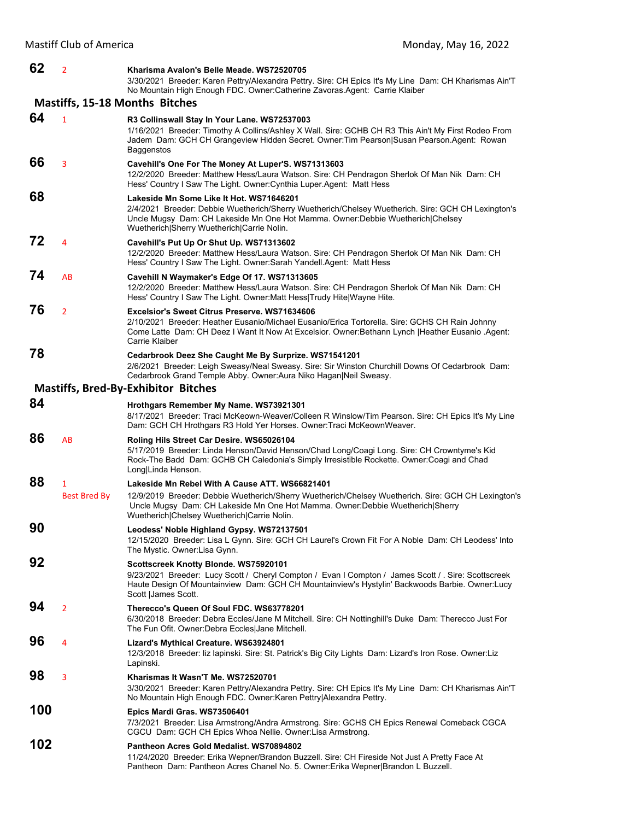| 62  | $\overline{2}$           | Kharisma Avalon's Belle Meade, WS72520705<br>3/30/2021 Breeder: Karen Pettry/Alexandra Pettry. Sire: CH Epics It's My Line Dam: CH Kharismas Ain'T<br>No Mountain High Enough FDC. Owner:Catherine Zavoras.Agent: Carrie Klaiber                                                       |
|-----|--------------------------|----------------------------------------------------------------------------------------------------------------------------------------------------------------------------------------------------------------------------------------------------------------------------------------|
|     |                          | Mastiffs, 15-18 Months Bitches                                                                                                                                                                                                                                                         |
| 64  | $\mathbf{1}$             | R3 Collinswall Stay In Your Lane. WS72537003<br>1/16/2021 Breeder: Timothy A Collins/Ashley X Wall. Sire: GCHB CH R3 This Ain't My First Rodeo From<br>Jadem Dam: GCH CH Grangeview Hidden Secret. Owner: Tim Pearson Susan Pearson. Agent: Rowan                                      |
| 66  | 3                        | Baggenstos<br>Cavehill's One For The Money At Luper'S. WS71313603<br>12/2/2020 Breeder: Matthew Hess/Laura Watson. Sire: CH Pendragon Sherlok Of Man Nik Dam: CH<br>Hess' Country I Saw The Light. Owner: Cynthia Luper. Agent: Matt Hess                                              |
| 68  |                          | Lakeside Mn Some Like It Hot. WS71646201<br>2/4/2021 Breeder: Debbie Wuetherich/Sherry Wuetherich/Chelsey Wuetherich. Sire: GCH CH Lexington's<br>Uncle Mugsy Dam: CH Lakeside Mn One Hot Mamma. Owner: Debbie Wuetherich Chelsey<br>Wuetherich Sherry Wuetherich Carrie Nolin.        |
| 72  | 4                        | Cavehill's Put Up Or Shut Up. WS71313602<br>12/2/2020 Breeder: Matthew Hess/Laura Watson. Sire: CH Pendragon Sherlok Of Man Nik Dam: CH<br>Hess' Country I Saw The Light. Owner: Sarah Yandell. Agent: Matt Hess                                                                       |
| 74  | AB                       | Cavehill N Waymaker's Edge Of 17. WS71313605<br>12/2/2020 Breeder: Matthew Hess/Laura Watson. Sire: CH Pendragon Sherlok Of Man Nik Dam: CH<br>Hess' Country I Saw The Light. Owner: Matt Hess Trudy Hite Wayne Hite.                                                                  |
| 76  | $\overline{2}$           | <b>Excelsior's Sweet Citrus Preserve, WS71634606</b><br>2/10/2021 Breeder: Heather Eusanio/Michael Eusanio/Erica Tortorella. Sire: GCHS CH Rain Johnny<br>Come Latte Dam: CH Deez I Want It Now At Excelsior. Owner: Bethann Lynch   Heather Eusanio . Agent:<br>Carrie Klaiber        |
| 78  |                          | Cedarbrook Deez She Caught Me By Surprize. WS71541201<br>2/6/2021 Breeder: Leigh Sweasy/Neal Sweasy. Sire: Sir Winston Churchill Downs Of Cedarbrook Dam:<br>Cedarbrook Grand Temple Abby. Owner: Aura Niko Hagan Neil Sweasy.                                                         |
|     |                          | <b>Mastiffs, Bred-By-Exhibitor Bitches</b>                                                                                                                                                                                                                                             |
| 84  |                          | Hrothgars Remember My Name. WS73921301<br>8/17/2021 Breeder: Traci McKeown-Weaver/Colleen R Winslow/Tim Pearson. Sire: CH Epics It's My Line<br>Dam: GCH CH Hrothgars R3 Hold Yer Horses. Owner: Traci McKeownWeaver.                                                                  |
| 86  | AB                       | Roling Hils Street Car Desire. WS65026104<br>5/17/2019 Breeder: Linda Henson/David Henson/Chad Long/Coagi Long. Sire: CH Crowntyme's Kid<br>Rock-The Badd Dam: GCHB CH Caledonia's Simply Irresistible Rockette. Owner: Coagi and Chad<br>Long Linda Henson.                           |
| 88  | 1<br><b>Best Bred By</b> | Lakeside Mn Rebel With A Cause ATT. WS66821401<br>12/9/2019 Breeder: Debbie Wuetherich/Sherry Wuetherich/Chelsey Wuetherich. Sire: GCH CH Lexington's<br>Uncle Mugsy Dam: CH Lakeside Mn One Hot Mamma. Owner: Debbie Wuetherich Sherry<br>Wuetherich Chelsey Wuetherich Carrie Nolin. |
| 90  |                          | Leodess' Noble Highland Gypsy. WS72137501<br>12/15/2020 Breeder: Lisa L Gynn. Sire: GCH CH Laurel's Crown Fit For A Noble Dam: CH Leodess' Into<br>The Mystic. Owner:Lisa Gynn.                                                                                                        |
| 92  |                          | Scottscreek Knotty Blonde. WS75920101<br>9/23/2021 Breeder: Lucy Scott / Cheryl Compton / Evan I Compton / James Scott / . Sire: Scottscreek<br>Haute Design Of Mountainview Dam: GCH CH Mountainview's Hystylin' Backwoods Barbie. Owner: Lucy<br>Scott  James Scott.                 |
| 94  | $\overline{2}$           | Therecco's Queen Of Soul FDC. WS63778201<br>6/30/2018 Breeder: Debra Eccles/Jane M Mitchell. Sire: CH Nottinghill's Duke Dam: Therecco Just For<br>The Fun Ofit. Owner: Debra Eccles Jane Mitchell.                                                                                    |
| 96  | 4                        | Lizard's Mythical Creature. WS63924801<br>12/3/2018 Breeder: liz lapinski. Sire: St. Patrick's Big City Lights Dam: Lizard's Iron Rose. Owner: Liz<br>Lapinski.                                                                                                                        |
| 98  | 3                        | Kharismas It Wasn'T Me. WS72520701<br>3/30/2021 Breeder: Karen Pettry/Alexandra Pettry. Sire: CH Epics It's My Line Dam: CH Kharismas Ain'T<br>No Mountain High Enough FDC. Owner: Karen Pettry Alexandra Pettry.                                                                      |
| 100 |                          | Epics Mardi Gras. WS73506401<br>7/3/2021 Breeder: Lisa Armstrong/Andra Armstrong. Sire: GCHS CH Epics Renewal Comeback CGCA<br>CGCU Dam: GCH CH Epics Whoa Nellie. Owner: Lisa Armstrong.                                                                                              |
| 102 |                          | Pantheon Acres Gold Medalist. WS70894802<br>11/24/2020 Breeder: Erika Wepner/Brandon Buzzell. Sire: CH Fireside Not Just A Pretty Face At<br>Pantheon Dam: Pantheon Acres Chanel No. 5. Owner: Erika Wepner Brandon L Buzzell.                                                         |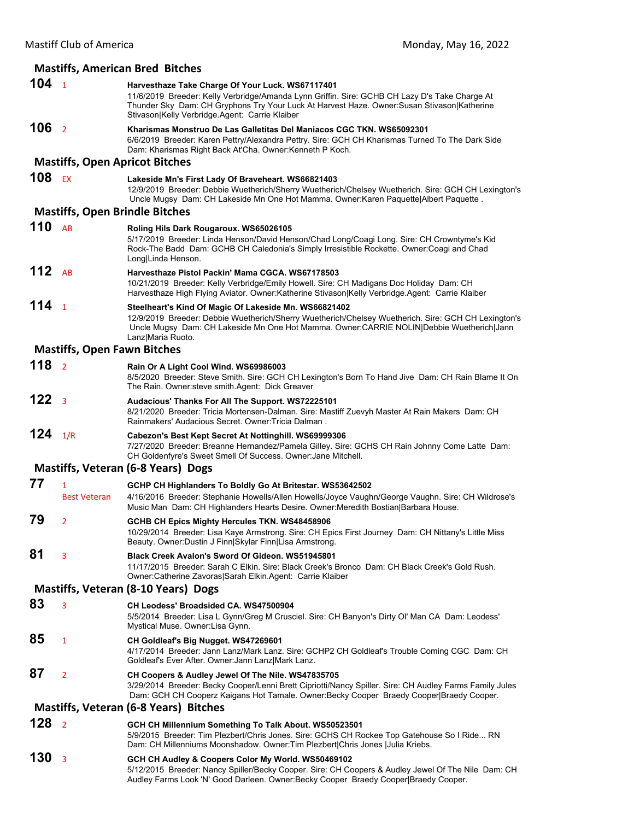## **Mastiffs, American Bred Bitches**

| 104 <sub>1</sub> |                                    | Harvesthaze Take Charge Of Your Luck. WS67117401<br>11/6/2019 Breeder: Kelly Verbridge/Amanda Lynn Griffin. Sire: GCHB CH Lazy D's Take Charge At<br>Thunder Sky Dam: CH Gryphons Try Your Luck At Harvest Haze. Owner: Susan Stivason Katherine<br>Stivason Kelly Verbridge Agent: Carrie Klaiber |
|------------------|------------------------------------|----------------------------------------------------------------------------------------------------------------------------------------------------------------------------------------------------------------------------------------------------------------------------------------------------|
| 106              | $\overline{2}$                     | Kharismas Monstruo De Las Galletitas Del Maniacos CGC TKN. WS65092301<br>6/6/2019 Breeder: Karen Pettry/Alexandra Pettry. Sire: GCH CH Kharismas Turned To The Dark Side<br>Dam: Kharismas Right Back At'Cha. Owner: Kenneth P Koch.                                                               |
|                  |                                    | <b>Mastiffs, Open Apricot Bitches</b>                                                                                                                                                                                                                                                              |
| 108              | EX                                 | Lakeside Mn's First Lady Of Braveheart. WS66821403<br>12/9/2019 Breeder: Debbie Wuetherich/Sherry Wuetherich/Chelsey Wuetherich. Sire: GCH CH Lexington's<br>Uncle Mugsy Dam: CH Lakeside Mn One Hot Mamma. Owner:Karen Paquette Albert Paquette.                                                  |
|                  |                                    | <b>Mastiffs, Open Brindle Bitches</b>                                                                                                                                                                                                                                                              |
| 110              | AB                                 | Roling Hils Dark Rougaroux. WS65026105<br>5/17/2019 Breeder: Linda Henson/David Henson/Chad Long/Coagi Long. Sire: CH Crowntyme's Kid<br>Rock-The Badd Dam: GCHB CH Caledonia's Simply Irresistible Rockette. Owner:Coagi and Chad<br>Long Linda Henson.                                           |
| 112 $AB$         |                                    | Harvesthaze Pistol Packin' Mama CGCA, WS67178503<br>10/21/2019 Breeder: Kelly Verbridge/Emily Howell. Sire: CH Madigans Doc Holiday Dam: CH<br>Harvesthaze High Flying Aviator. Owner: Katherine Stivason Kelly Verbridge. Agent: Carrie Klaiber                                                   |
| 114 <sub>1</sub> |                                    | Steelheart's Kind Of Magic Of Lakeside Mn. WS66821402<br>12/9/2019 Breeder: Debbie Wuetherich/Sherry Wuetherich/Chelsey Wuetherich. Sire: GCH CH Lexington's<br>Uncle Mugsy Dam: CH Lakeside Mn One Hot Mamma. Owner:CARRIE NOLIN Debbie Wuetherich Jann<br>Lanz Maria Ruoto.                      |
|                  | <b>Mastiffs, Open Fawn Bitches</b> |                                                                                                                                                                                                                                                                                                    |
| 118 <sub>2</sub> |                                    | Rain Or A Light Cool Wind. WS69986003<br>8/5/2020 Breeder: Steve Smith. Sire: GCH CH Lexington's Born To Hand Jive Dam: CH Rain Blame It On<br>The Rain. Owner: steve smith. Agent: Dick Greaver                                                                                                   |
| 122              | $\overline{\mathbf{3}}$            | Audacious' Thanks For All The Support. WS72225101<br>8/21/2020 Breeder: Tricia Mortensen-Dalman. Sire: Mastiff Zuevyh Master At Rain Makers Dam: CH<br>Rainmakers' Audacious Secret. Owner: Tricia Dalman.                                                                                         |
| 124              | 1/R                                | Cabezon's Best Kept Secret At Nottinghill. WS69999306<br>7/27/2020 Breeder: Breanne Hernandez/Pamela Gilley. Sire: GCHS CH Rain Johnny Come Latte Dam:<br>CH Goldenfyre's Sweet Smell Of Success. Owner: Jane Mitchell.                                                                            |
|                  |                                    | Mastiffs, Veteran (6-8 Years) Dogs                                                                                                                                                                                                                                                                 |
| 77               | 1<br><b>Best Veteran</b>           | GCHP CH Highlanders To Boldly Go At Britestar. WS53642502<br>4/16/2016 Breeder: Stephanie Howells/Allen Howells/Joyce Vaughn/George Vaughn. Sire: CH Wildrose's<br>Music Man Dam: CH Highlanders Hearts Desire. Owner: Meredith Bostian Barbara House.                                             |
| 79               | $\overline{2}$                     | GCHB CH Epics Mighty Hercules TKN. WS48458906<br>10/29/2014 Breeder: Lisa Kaye Armstrong. Sire: CH Epics First Journey Dam: CH Nittany's Little Miss<br>Beauty. Owner: Dustin J Finn   Skylar Finn   Lisa Armstrong.                                                                               |
| 81               | 3                                  | Black Creek Avalon's Sword Of Gideon, WS51945801<br>11/17/2015 Breeder: Sarah C Elkin, Sire: Black Creek's Bronco Dam: CH Black Creek's Gold Rush.<br>Owner: Catherine Zavoras Sarah Elkin. Agent: Carrie Klaiber                                                                                  |
|                  |                                    | Mastiffs, Veteran (8-10 Years) Dogs                                                                                                                                                                                                                                                                |
| 83               | 3                                  | CH Leodess' Broadsided CA. WS47500904<br>5/5/2014 Breeder: Lisa L Gynn/Greg M Crusciel. Sire: CH Banyon's Dirty Ol' Man CA Dam: Leodess'<br>Mystical Muse. Owner: Lisa Gynn.                                                                                                                       |
| 85               | 1                                  | CH Goldleaf's Big Nugget. WS47269601<br>4/17/2014 Breeder: Jann Lanz/Mark Lanz. Sire: GCHP2 CH Goldleaf's Trouble Coming CGC Dam: CH<br>Goldleaf's Ever After. Owner: Jann Lanz Mark Lanz.                                                                                                         |
| 87               | $\overline{2}$                     | CH Coopers & Audley Jewel Of The Nile. WS47835705<br>3/29/2014 Breeder: Becky Cooper/Lenni Brett Cipriotti/Nancy Spiller. Sire: CH Audley Farms Family Jules<br>Dam: GCH CH Cooperz Kaigans Hot Tamale. Owner: Becky Cooper Braedy Cooper Braedy Cooper.                                           |
|                  |                                    | Mastiffs, Veteran (6-8 Years) Bitches                                                                                                                                                                                                                                                              |
| 128              | $\overline{2}$                     | GCH CH Millennium Something To Talk About. WS50523501<br>5/9/2015 Breeder: Tim Plezbert/Chris Jones. Sire: GCHS CH Rockee Top Gatehouse So I Ride RN<br>Dam: CH Millenniums Moonshadow. Owner: Tim Plezbert Chris Jones   Julia Kriebs.                                                            |
| 130              | 3                                  | GCH CH Audley & Coopers Color My World. WS50469102<br>5/12/2015 Breeder: Nancy Spiller/Becky Cooper. Sire: CH Coopers & Audley Jewel Of The Nile Dam: CH                                                                                                                                           |

Audley Farms Look 'N' Good Darleen. Owner:Becky Cooper Braedy Cooper|Braedy Cooper.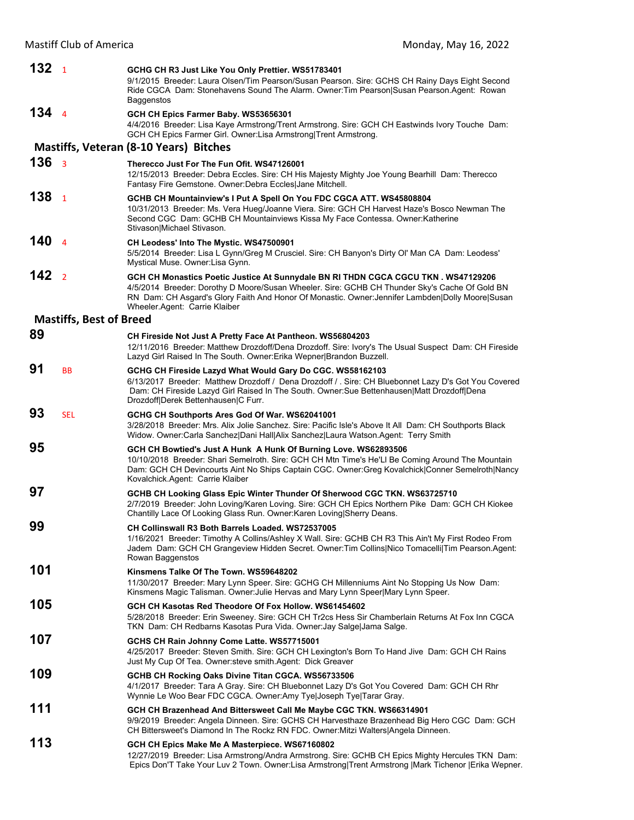| 132  | $\overline{1}$                 | GCHG CH R3 Just Like You Only Prettier. WS51783401<br>9/1/2015 Breeder: Laura Olsen/Tim Pearson/Susan Pearson. Sire: GCHS CH Rainy Days Eight Second<br>Ride CGCA Dam: Stonehavens Sound The Alarm. Owner: Tim Pearson Susan Pearson. Agent: Rowan<br>Baggenstos                                                        |
|------|--------------------------------|-------------------------------------------------------------------------------------------------------------------------------------------------------------------------------------------------------------------------------------------------------------------------------------------------------------------------|
| 1344 |                                | GCH CH Epics Farmer Baby. WS53656301<br>4/4/2016 Breeder: Lisa Kaye Armstrong/Trent Armstrong. Sire: GCH CH Eastwinds Ivory Touche Dam:<br>GCH CH Epics Farmer Girl. Owner:Lisa Armstrong Trent Armstrong.                                                                                                              |
|      |                                | <b>Mastiffs, Veteran (8-10 Years) Bitches</b>                                                                                                                                                                                                                                                                           |
| 136  | $\overline{3}$                 | Therecco Just For The Fun Ofit. WS47126001<br>12/15/2013 Breeder: Debra Eccles. Sire: CH His Majesty Mighty Joe Young Bearhill Dam: Therecco<br>Fantasy Fire Gemstone. Owner: Debra Eccles Jane Mitchell.                                                                                                               |
| 138  | $\mathbf{1}$                   | GCHB CH Mountainview's I Put A Spell On You FDC CGCA ATT. WS45808804<br>10/31/2013 Breeder: Ms. Vera Hueg/Joanne Viera. Sire: GCH CH Harvest Haze's Bosco Newman The<br>Second CGC Dam: GCHB CH Mountainviews Kissa My Face Contessa. Owner: Katherine<br>Stivason Michael Stivason.                                    |
| 140  | $\overline{a}$                 | CH Leodess' Into The Mystic. WS47500901<br>5/5/2014 Breeder: Lisa L Gynn/Greg M Crusciel. Sire: CH Banyon's Dirty Ol' Man CA Dam: Leodess'<br>Mystical Muse. Owner:Lisa Gynn.                                                                                                                                           |
| 142  | $\overline{2}$                 | GCH CH Monastics Poetic Justice At Sunnydale BN RI THDN CGCA CGCU TKN. WS47129206<br>4/5/2014 Breeder: Dorothy D Moore/Susan Wheeler. Sire: GCHB CH Thunder Sky's Cache Of Gold BN<br>RN Dam: CH Asgard's Glory Faith And Honor Of Monastic. Owner: Jennifer Lambden Dolly Moore Susan<br>Wheeler.Agent: Carrie Klaiber |
|      | <b>Mastiffs, Best of Breed</b> |                                                                                                                                                                                                                                                                                                                         |
| 89   |                                | CH Fireside Not Just A Pretty Face At Pantheon. WS56804203<br>12/11/2016 Breeder: Matthew Drozdoff/Dena Drozdoff. Sire: Ivory's The Usual Suspect Dam: CH Fireside<br>Lazyd Girl Raised In The South. Owner: Erika Wepner Brandon Buzzell.                                                                              |
| 91   | <b>BB</b>                      | GCHG CH Fireside Lazyd What Would Gary Do CGC. WS58162103<br>6/13/2017 Breeder: Matthew Drozdoff / Dena Drozdoff / . Sire: CH Bluebonnet Lazy D's Got You Covered<br>Dam: CH Fireside Lazyd Girl Raised In The South. Owner:Sue Bettenhausen Matt Drozdoff Dena<br>Drozdoff Derek Bettenhausen C Furr.                  |
| 93   | <b>SEL</b>                     | GCHG CH Southports Ares God Of War. WS62041001<br>3/28/2018 Breeder: Mrs. Alix Jolie Sanchez. Sire: Pacific Isle's Above It All Dam: CH Southports Black<br>Widow. Owner:Carla Sanchez Dani Hall Alix Sanchez Laura Watson.Agent: Terry Smith                                                                           |
| 95   |                                | GCH CH Bowtied's Just A Hunk A Hunk Of Burning Love. WS62893506<br>10/10/2018 Breeder: Shari Semelroth. Sire: GCH CH Mtn Time's He'Ll Be Coming Around The Mountain<br>Dam: GCH CH Devincourts Aint No Ships Captain CGC. Owner: Greg Kovalchick Conner Semelroth Nancy<br>Kovalchick.Agent: Carrie Klaiber             |
| 97   |                                | GCHB CH Looking Glass Epic Winter Thunder Of Sherwood CGC TKN. WS63725710<br>2/7/2019 Breeder: John Loving/Karen Loving. Sire: GCH CH Epics Northern Pike Dam: GCH CH Kiokee<br>Chantilly Lace Of Looking Glass Run. Owner: Karen Loving Sherry Deans.                                                                  |
| 99   |                                | CH Collinswall R3 Both Barrels Loaded. WS72537005<br>1/16/2021 Breeder: Timothy A Collins/Ashley X Wall. Sire: GCHB CH R3 This Ain't My First Rodeo From<br>Jadem Dam: GCH CH Grangeview Hidden Secret. Owner: Tim Collins Nico Tomacelli Tim Pearson. Agent:<br>Rowan Baggenstos                                       |
| 101  |                                | Kinsmens Talke Of The Town. WS59648202<br>11/30/2017 Breeder: Mary Lynn Speer. Sire: GCHG CH Millenniums Aint No Stopping Us Now Dam:<br>Kinsmens Magic Talisman. Owner: Julie Hervas and Mary Lynn Speer Mary Lynn Speer.                                                                                              |
| 105  |                                | GCH CH Kasotas Red Theodore Of Fox Hollow. WS61454602<br>5/28/2018 Breeder: Erin Sweeney. Sire: GCH CH Tr2cs Hess Sir Chamberlain Returns At Fox Inn CGCA<br>TKN Dam: CH Redbarns Kasotas Pura Vida. Owner: Jay Salge Jama Salge.                                                                                       |
| 107  |                                | GCHS CH Rain Johnny Come Latte. WS57715001<br>4/25/2017 Breeder: Steven Smith. Sire: GCH CH Lexington's Born To Hand Jive Dam: GCH CH Rains<br>Just My Cup Of Tea. Owner: steve smith. Agent: Dick Greaver                                                                                                              |
| 109  |                                | GCHB CH Rocking Oaks Divine Titan CGCA. WS56733506<br>4/1/2017 Breeder: Tara A Gray. Sire: CH Bluebonnet Lazy D's Got You Covered Dam: GCH CH Rhr<br>Wynnie Le Woo Bear FDC CGCA. Owner:Amy Tye Joseph Tye Tarar Gray.                                                                                                  |
| 111  |                                | GCH CH Brazenhead And Bittersweet Call Me Maybe CGC TKN. WS66314901<br>9/9/2019 Breeder: Angela Dinneen. Sire: GCHS CH Harvesthaze Brazenhead Big Hero CGC Dam: GCH<br>CH Bittersweet's Diamond In The Rockz RN FDC. Owner: Mitzi Walters   Angela Dinneen.                                                             |
| 113  |                                | GCH CH Epics Make Me A Masterpiece. WS67160802<br>12/27/2019 Breeder: Lisa Armstrong/Andra Armstrong. Sire: GCHB CH Epics Mighty Hercules TKN Dam:<br>Epics Don'T Take Your Luv 2 Town. Owner: Lisa Armstrong Trent Armstrong Mark Tichenor   Erika Wepner.                                                             |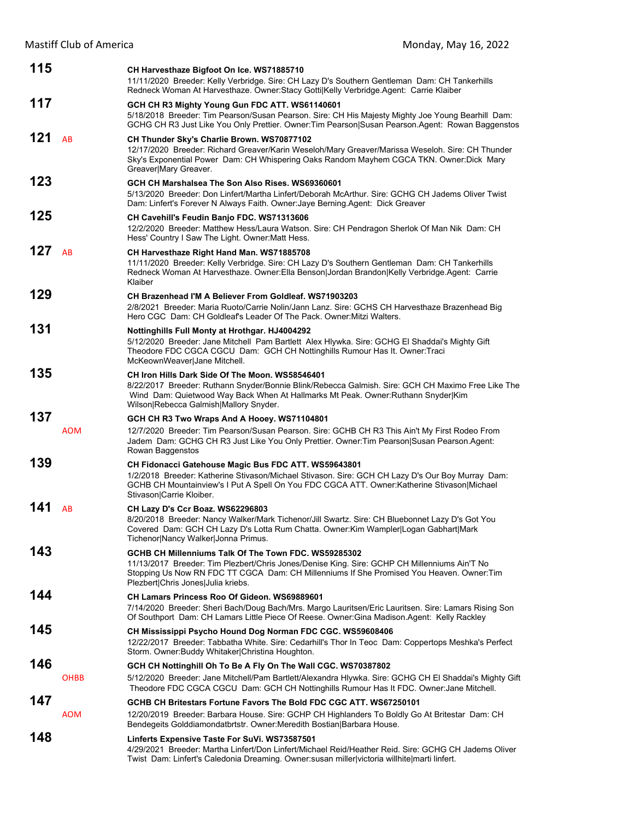| 115 |             | CH Harvesthaze Bigfoot On Ice. WS71885710<br>11/11/2020 Breeder: Kelly Verbridge. Sire: CH Lazy D's Southern Gentleman Dam: CH Tankerhills<br>Redneck Woman At Harvesthaze. Owner:Stacy Gotti Kelly Verbridge.Agent: Carrie Klaiber                                                     |
|-----|-------------|-----------------------------------------------------------------------------------------------------------------------------------------------------------------------------------------------------------------------------------------------------------------------------------------|
| 117 |             | GCH CH R3 Mighty Young Gun FDC ATT. WS61140601                                                                                                                                                                                                                                          |
|     |             | 5/18/2018 Breeder: Tim Pearson/Susan Pearson. Sire: CH His Majesty Mighty Joe Young Bearhill Dam:<br>GCHG CH R3 Just Like You Only Prettier. Owner: Tim Pearson Susan Pearson. Agent: Rowan Baggenstos                                                                                  |
| 121 | AB          | CH Thunder Sky's Charlie Brown. WS70877102<br>12/17/2020 Breeder: Richard Greaver/Karin Weseloh/Mary Greaver/Marissa Weseloh. Sire: CH Thunder<br>Sky's Exponential Power Dam: CH Whispering Oaks Random Mayhem CGCA TKN. Owner:Dick Mary<br>Greaver Mary Greaver.                      |
| 123 |             | GCH CH Marshalsea The Son Also Rises, WS69360601<br>5/13/2020 Breeder: Don Linfert/Martha Linfert/Deborah McArthur, Sire: GCHG CH Jadems Oliver Twist<br>Dam: Linfert's Forever N Always Faith. Owner: Jaye Berning. Agent: Dick Greaver                                                |
| 125 |             | CH Cavehill's Feudin Banjo FDC. WS71313606<br>12/2/2020 Breeder: Matthew Hess/Laura Watson. Sire: CH Pendragon Sherlok Of Man Nik Dam: CH<br>Hess' Country I Saw The Light. Owner: Matt Hess.                                                                                           |
| 127 | AB          | CH Harvesthaze Right Hand Man. WS71885708<br>11/11/2020 Breeder: Kelly Verbridge. Sire: CH Lazy D's Southern Gentleman Dam: CH Tankerhills<br>Redneck Woman At Harvesthaze. Owner: Ella Benson Jordan Brandon Kelly Verbridge.Agent: Carrie<br>Klaiber                                  |
| 129 |             | CH Brazenhead I'M A Believer From Goldleaf. WS71903203<br>2/8/2021 Breeder: Maria Ruoto/Carrie Nolin/Jann Lanz. Sire: GCHS CH Harvesthaze Brazenhead Big<br>Hero CGC Dam: CH Goldleaf's Leader Of The Pack, Owner Mitzi Walters,                                                        |
| 131 |             | Nottinghills Full Monty at Hrothgar. HJ4004292<br>5/12/2020 Breeder: Jane Mitchell Pam Bartlett Alex Hlywka. Sire: GCHG El Shaddai's Mighty Gift<br>Theodore FDC CGCA CGCU Dam: GCH CH Nottinghills Rumour Has It. Owner:Traci<br>McKeownWeaver Jane Mitchell.                          |
| 135 |             | CH Iron Hills Dark Side Of The Moon. WS58546401<br>8/22/2017 Breeder: Ruthann Snyder/Bonnie Blink/Rebecca Galmish. Sire: GCH CH Maximo Free Like The<br>Wind Dam: Quietwood Way Back When At Hallmarks Mt Peak. Owner: Ruthann Snyder Kim<br>Wilson Rebecca Galmish Mallory Snyder.     |
| 137 | <b>AOM</b>  | GCH CH R3 Two Wraps And A Hooey. WS71104801<br>12/7/2020 Breeder: Tim Pearson/Susan Pearson. Sire: GCHB CH R3 This Ain't My First Rodeo From<br>Jadem Dam: GCHG CH R3 Just Like You Only Prettier. Owner:Tim Pearson Susan Pearson.Agent:<br>Rowan Baggenstos                           |
| 139 |             | CH Fidonacci Gatehouse Magic Bus FDC ATT. WS59643801<br>1/2/2018 Breeder: Katherine Stivason/Michael Stivason. Sire: GCH CH Lazy D's Our Boy Murray Dam:<br>GCHB CH Mountainview's I Put A Spell On You FDC CGCA ATT. Owner: Katherine Stivason Michael<br>Stivason Carrie Kloiber.     |
| 141 | AB          | CH Lazy D's Ccr Boaz. WS62296803<br>8/20/2018 Breeder: Nancy Walker/Mark Tichenor/Jill Swartz. Sire: CH Bluebonnet Lazy D's Got You<br>Covered Dam: GCH CH Lazy D's Lotta Rum Chatta. Owner: Kim Wampler Logan Gabhart Mark<br>Tichenor Nancy Walker Jonna Primus.                      |
| 143 |             | GCHB CH Millenniums Talk Of The Town FDC, WS59285302<br>11/13/2017 Breeder: Tim Plezbert/Chris Jones/Denise King. Sire: GCHP CH Millenniums Ain'T No<br>Stopping Us Now RN FDC TT CGCA Dam: CH Millenniums If She Promised You Heaven. Owner: Tim<br>Plezbert Chris Jones Julia kriebs. |
| 144 |             | CH Lamars Princess Roo Of Gideon. WS69889601<br>7/14/2020 Breeder: Sheri Bach/Doug Bach/Mrs. Margo Lauritsen/Eric Lauritsen. Sire: Lamars Rising Son<br>Of Southport Dam: CH Lamars Little Piece Of Reese. Owner: Gina Madison. Agent: Kelly Rackley                                    |
| 145 |             | CH Mississippi Psycho Hound Dog Norman FDC CGC. WS59608406<br>12/22/2017 Breeder: Tabbatha White. Sire: Cedarhill's Thor In Teoc Dam: Coppertops Meshka's Perfect<br>Storm. Owner: Buddy Whitaker Christina Houghton.                                                                   |
| 146 | <b>OHBB</b> | GCH CH Nottinghill Oh To Be A Fly On The Wall CGC. WS70387802<br>5/12/2020 Breeder: Jane Mitchell/Pam Bartlett/Alexandra Hlywka. Sire: GCHG CH El Shaddai's Mighty Gift<br>Theodore FDC CGCA CGCU Dam: GCH CH Nottinghills Rumour Has It FDC. Owner: Jane Mitchell.                     |
| 147 |             | GCHB CH Britestars Fortune Favors The Bold FDC CGC ATT, WS67250101                                                                                                                                                                                                                      |
|     | <b>AOM</b>  | 12/20/2019 Breeder: Barbara House. Sire: GCHP CH Highlanders To Boldly Go At Britestar Dam: CH<br>Bendegeits Golddiamondatbrtstr. Owner:Meredith Bostian Barbara House.                                                                                                                 |
| 148 |             | Linferts Expensive Taste For SuVi. WS73587501<br>4/29/2021 Breeder: Martha Linfert/Don Linfert/Michael Reid/Heather Reid. Sire: GCHG CH Jadems Oliver<br>Twist Dam: Linfert's Caledonia Dreaming. Owner:susan miller victoria willhite marti linfert.                                   |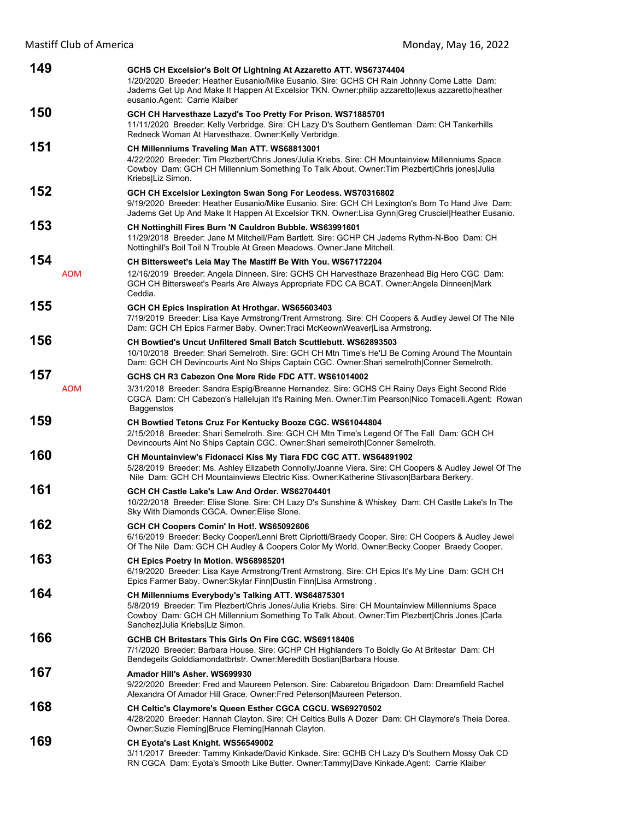| 149               | GCHS CH Excelsior's Bolt Of Lightning At Azzaretto ATT. WS67374404<br>1/20/2020 Breeder: Heather Eusanio/Mike Eusanio. Sire: GCHS CH Rain Johnny Come Latte Dam:<br>Jadems Get Up And Make It Happen At Excelsior TKN. Owner: philip azzaretto lexus azzaretto heather<br>eusanio Agent: Carrie Klaiber |
|-------------------|---------------------------------------------------------------------------------------------------------------------------------------------------------------------------------------------------------------------------------------------------------------------------------------------------------|
| 150               | GCH CH Harvesthaze Lazyd's Too Pretty For Prison. WS71885701<br>11/11/2020 Breeder: Kelly Verbridge. Sire: CH Lazy D's Southern Gentleman Dam: CH Tankerhills<br>Redneck Woman At Harvesthaze. Owner: Kelly Verbridge.                                                                                  |
| 151               | CH Millenniums Traveling Man ATT. WS68813001<br>4/22/2020 Breeder: Tim Plezbert/Chris Jones/Julia Kriebs. Sire: CH Mountainview Millenniums Space<br>Cowboy Dam: GCH CH Millennium Something To Talk About. Owner: Tim Plezbert Chris jones Julia<br>Kriebs Liz Simon.                                  |
| 152               | GCH CH Excelsior Lexington Swan Song For Leodess. WS70316802<br>9/19/2020 Breeder: Heather Eusanio/Mike Eusanio. Sire: GCH CH Lexington's Born To Hand Jive Dam:<br>Jadems Get Up And Make It Happen At Excelsior TKN. Owner:Lisa Gynn Greg Crusciel Heather Eusanio.                                   |
| 153               | <b>CH Nottinghill Fires Burn 'N Cauldron Bubble. WS63991601</b><br>11/29/2018 Breeder: Jane M Mitchell/Pam Bartlett. Sire: GCHP CH Jadems Rythm-N-Boo Dam: CH<br>Nottinghill's Boil Toil N Trouble At Green Meadows. Owner: Jane Mitchell.                                                              |
| 154<br><b>AOM</b> | CH Bittersweet's Leia May The Mastiff Be With You. WS67172204<br>12/16/2019 Breeder: Angela Dinneen. Sire: GCHS CH Harvesthaze Brazenhead Big Hero CGC Dam:<br>GCH CH Bittersweet's Pearls Are Always Appropriate FDC CA BCAT. Owner: Angela Dinneen Mark<br>Ceddia.                                    |
| 155               | GCH CH Epics Inspiration At Hrothgar. WS65603403<br>7/19/2019 Breeder: Lisa Kaye Armstrong/Trent Armstrong. Sire: CH Coopers & Audley Jewel Of The Nile<br>Dam: GCH CH Epics Farmer Baby. Owner: Traci McKeownWeaver Lisa Armstrong.                                                                    |
| 156               | <b>CH Bowtied's Uncut Unfiltered Small Batch Scuttlebutt, WS62893503</b><br>10/10/2018 Breeder: Shari Semelroth. Sire: GCH CH Mtn Time's He'Ll Be Coming Around The Mountain<br>Dam: GCH CH Devincourts Aint No Ships Captain CGC. Owner: Shari semelroth Conner Semelroth.                             |
| 157<br><b>AOM</b> | GCHS CH R3 Cabezon One More Ride FDC ATT. WS61014002<br>3/31/2018 Breeder: Sandra Espig/Breanne Hernandez. Sire: GCHS CH Rainy Days Eight Second Ride<br>CGCA Dam: CH Cabezon's Hallelujah It's Raining Men. Owner: Tim Pearson Nico Tomacelli. Agent: Rowan<br><b>Baggenstos</b>                       |
| 159               | CH Bowtied Tetons Cruz For Kentucky Booze CGC. WS61044804<br>2/15/2018 Breeder: Shari Semelroth. Sire: GCH CH Mtn Time's Legend Of The Fall Dam: GCH CH<br>Devincourts Aint No Ships Captain CGC. Owner: Shari semelroth Conner Semelroth.                                                              |
| 160               | <b>CH Mountainview's Fidonacci Kiss My Tiara FDC CGC ATT. WS64891902</b><br>5/28/2019 Breeder: Ms. Ashley Elizabeth Connolly/Joanne Viera. Sire: CH Coopers & Audley Jewel Of The<br>Nile Dam: GCH CH Mountainviews Electric Kiss. Owner: Katherine Stivason Barbara Berkery.                           |
| 161               | GCH CH Castle Lake's Law And Order, WS62704401<br>10/22/2018 Breeder: Elise Slone. Sire: CH Lazy D's Sunshine & Whiskey Dam: CH Castle Lake's In The<br>Sky With Diamonds CGCA. Owner: Elise Slone.                                                                                                     |
| 162               | GCH CH Coopers Comin' In Hot!. WS65092606<br>6/16/2019 Breeder: Becky Cooper/Lenni Brett Cipriotti/Braedy Cooper. Sire: CH Coopers & Audley Jewel<br>Of The Nile Dam: GCH CH Audley & Coopers Color My World. Owner: Becky Cooper Braedy Cooper.                                                        |
| 163               | CH Epics Poetry In Motion. WS68985201<br>6/19/2020 Breeder: Lisa Kaye Armstrong/Trent Armstrong. Sire: CH Epics It's My Line Dam: GCH CH<br>Epics Farmer Baby. Owner: Skylar Finn Dustin Finn Lisa Armstrong.                                                                                           |
| 164               | CH Millenniums Everybody's Talking ATT. WS64875301<br>5/8/2019 Breeder: Tim Plezbert/Chris Jones/Julia Kriebs. Sire: CH Mountainview Millenniums Space<br>Cowboy Dam: GCH CH Millennium Something To Talk About. Owner: Tim Plezbert Chris Jones   Carla<br>Sanchez Julia Kriebs Liz Simon.             |
| 166               | GCHB CH Britestars This Girls On Fire CGC, WS69118406<br>7/1/2020 Breeder: Barbara House. Sire: GCHP CH Highlanders To Boldly Go At Britestar Dam: CH<br>Bendegeits Golddiamondatbrtstr. Owner: Meredith Bostian Barbara House.                                                                         |
| 167               | Amador Hill's Asher, WS699930<br>9/22/2020 Breeder: Fred and Maureen Peterson. Sire: Cabaretou Brigadoon Dam: Dreamfield Rachel<br>Alexandra Of Amador Hill Grace. Owner: Fred Peterson Maureen Peterson.                                                                                               |
| 168               | <b>CH Celtic's Claymore's Queen Esther CGCA CGCU. WS69270502</b><br>4/28/2020 Breeder: Hannah Clayton. Sire: CH Celtics Bulls A Dozer Dam: CH Claymore's Theia Dorea.<br>Owner:Suzie Fleming Bruce Fleming Hannah Clayton.                                                                              |
| 169               | CH Eyota's Last Knight. WS56549002<br>3/11/2017 Breeder: Tammy Kinkade/David Kinkade. Sire: GCHB CH Lazy D's Southern Mossy Oak CD<br>RN CGCA Dam: Eyota's Smooth Like Butter. Owner:Tammy Dave Kinkade.Agent: Carrie Klaiber                                                                           |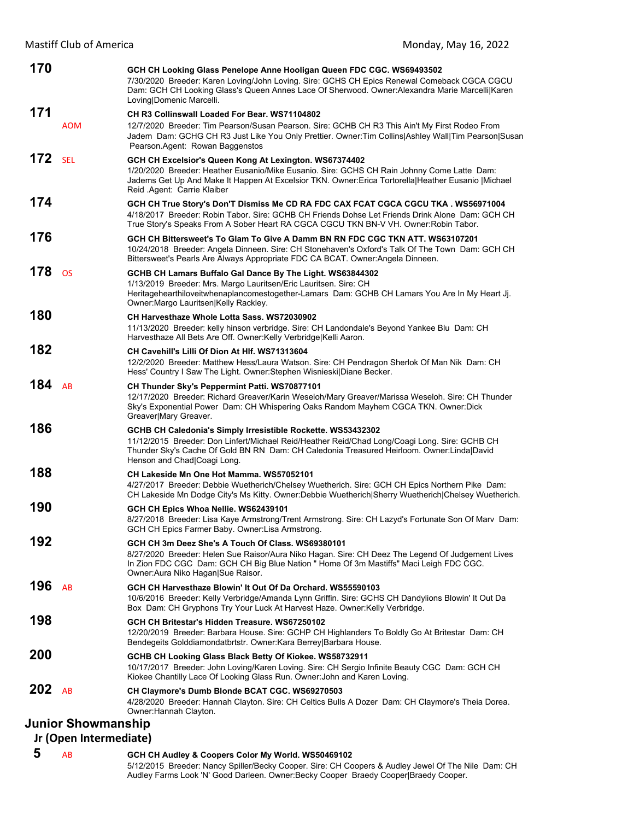| 170                       |            | GCH CH Looking Glass Penelope Anne Hooligan Queen FDC CGC. WS69493502<br>7/30/2020 Breeder: Karen Loving/John Loving. Sire: GCHS CH Epics Renewal Comeback CGCA CGCU<br>Dam: GCH CH Looking Glass's Queen Annes Lace Of Sherwood. Owner:Alexandra Marie Marcelli Karen<br>Loving Domenic Marcelli. |
|---------------------------|------------|----------------------------------------------------------------------------------------------------------------------------------------------------------------------------------------------------------------------------------------------------------------------------------------------------|
| 171                       |            | CH R3 Collinswall Loaded For Bear. WS71104802                                                                                                                                                                                                                                                      |
|                           | <b>AOM</b> | 12/7/2020 Breeder: Tim Pearson/Susan Pearson. Sire: GCHB CH R3 This Ain't My First Rodeo From<br>Jadem Dam: GCHG CH R3 Just Like You Only Prettier. Owner: Tim Collins   Ashley Wall   Tim Pearson   Susan<br>Pearson.Agent: Rowan Baggenstos                                                      |
| 172                       | <b>SEL</b> | GCH CH Excelsior's Queen Kong At Lexington. WS67374402<br>1/20/2020 Breeder: Heather Eusanio/Mike Eusanio. Sire: GCHS CH Rain Johnny Come Latte Dam:<br>Jadems Get Up And Make It Happen At Excelsior TKN. Owner: Erica Tortorella Heather Eusanio   Michael<br>Reid Agent: Carrie Klaiber         |
| 174                       |            | GCH CH True Story's Don'T Dismiss Me CD RA FDC CAX FCAT CGCA CGCU TKA . WS56971004<br>4/18/2017 Breeder: Robin Tabor. Sire: GCHB CH Friends Dohse Let Friends Drink Alone Dam: GCH CH<br>True Story's Speaks From A Sober Heart RA CGCA CGCU TKN BN-V VH. Owner: Robin Tabor.                      |
| 176                       |            | GCH CH Bittersweet's To Glam To Give A Damm BN RN FDC CGC TKN ATT. WS63107201<br>10/24/2018 Breeder: Angela Dinneen. Sire: CH Stonehaven's Oxford's Talk Of The Town Dam: GCH CH<br>Bittersweet's Pearls Are Always Appropriate FDC CA BCAT. Owner:Angela Dinneen.                                 |
| 178                       | <b>OS</b>  | GCHB CH Lamars Buffalo Gal Dance By The Light. WS63844302<br>1/13/2019 Breeder: Mrs. Margo Lauritsen/Eric Lauritsen. Sire: CH<br>Heritagehearthiloveitwhenaplancomestogether-Lamars Dam: GCHB CH Lamars You Are In My Heart Jj.<br>Owner: Margo Lauritsen Kelly Rackley.                           |
| 180                       |            | CH Harvesthaze Whole Lotta Sass, WS72030902<br>11/13/2020 Breeder: kelly hinson verbridge. Sire: CH Landondale's Beyond Yankee Blu Dam: CH<br>Harvesthaze All Bets Are Off. Owner: Kelly Verbridge Kelli Aaron.                                                                                    |
| 182                       |            | CH Cavehill's Lilli Of Dion At HIf. WS71313604<br>12/2/2020 Breeder: Matthew Hess/Laura Watson. Sire: CH Pendragon Sherlok Of Man Nik Dam: CH<br>Hess' Country I Saw The Light. Owner: Stephen Wisnieski Diane Becker.                                                                             |
| 184                       | AB         | <b>CH Thunder Sky's Peppermint Patti. WS70877101</b><br>12/17/2020 Breeder: Richard Greaver/Karin Weseloh/Mary Greaver/Marissa Weseloh. Sire: CH Thunder<br>Sky's Exponential Power Dam: CH Whispering Oaks Random Mayhem CGCA TKN. Owner: Dick<br>Greaver Mary Greaver.                           |
| 186                       |            | GCHB CH Caledonia's Simply Irresistible Rockette. WS53432302<br>11/12/2015 Breeder: Don Linfert/Michael Reid/Heather Reid/Chad Long/Coagi Long. Sire: GCHB CH<br>Thunder Sky's Cache Of Gold BN RN Dam: CH Caledonia Treasured Heirloom. Owner:Linda David<br>Henson and Chad Coagi Long.          |
| 188                       |            | CH Lakeside Mn One Hot Mamma. WS57052101<br>4/27/2017 Breeder: Debbie Wuetherich/Chelsey Wuetherich. Sire: GCH CH Epics Northern Pike Dam:<br>CH Lakeside Mn Dodge City's Ms Kitty. Owner:Debbie Wuetherich Sherry Wuetherich Chelsey Wuetherich.                                                  |
| 190                       |            | GCH CH Epics Whoa Nellie. WS62439101<br>8/27/2018 Breeder: Lisa Kaye Armstrong/Trent Armstrong. Sire: CH Lazyd's Fortunate Son Of Marv Dam:<br>GCH CH Epics Farmer Baby. Owner:Lisa Armstrong.                                                                                                     |
| 192                       |            | GCH CH 3m Deez She's A Touch Of Class. WS69380101<br>8/27/2020 Breeder: Helen Sue Raisor/Aura Niko Hagan. Sire: CH Deez The Legend Of Judgement Lives<br>In Zion FDC CGC Dam: GCH CH Big Blue Nation " Home Of 3m Mastiffs" Maci Leigh FDC CGC.<br>Owner: Aura Niko Hagan Sue Raisor.              |
| 196                       | AB         | GCH CH Harvesthaze Blowin' It Out Of Da Orchard, WS55590103<br>10/6/2016 Breeder: Kelly Verbridge/Amanda Lynn Griffin. Sire: GCHS CH Dandylions Blowin' It Out Da<br>Box Dam: CH Gryphons Try Your Luck At Harvest Haze. Owner: Kelly Verbridge.                                                   |
| 198                       |            | GCH CH Britestar's Hidden Treasure, WS67250102<br>12/20/2019 Breeder: Barbara House. Sire: GCHP CH Highlanders To Boldly Go At Britestar Dam: CH<br>Bendegeits Golddiamondatbrtstr. Owner: Kara Berrey Barbara House.                                                                              |
| 200                       |            | GCHB CH Looking Glass Black Betty Of Kiokee. WS58732911<br>10/17/2017 Breeder: John Loving/Karen Loving. Sire: CH Sergio Infinite Beauty CGC Dam: GCH CH<br>Kiokee Chantilly Lace Of Looking Glass Run. Owner: John and Karen Loving.                                                              |
| $202$ AB                  |            | CH Claymore's Dumb Blonde BCAT CGC. WS69270503<br>4/28/2020 Breeder: Hannah Clayton. Sire: CH Celtics Bulls A Dozer Dam: CH Claymore's Theia Dorea.<br>Owner: Hannah Clayton.                                                                                                                      |
| <b>Junior Showmanship</b> |            |                                                                                                                                                                                                                                                                                                    |
|                           |            |                                                                                                                                                                                                                                                                                                    |
| Jr (Open Intermediate)    |            |                                                                                                                                                                                                                                                                                                    |

 **5** AB **GCH CH Audley & Coopers Color My World. WS50469102** 5/12/2015 Breeder: Nancy Spiller/Becky Cooper. Sire: CH Coopers & Audley Jewel Of The Nile Dam: CH Audley Farms Look 'N' Good Darleen. Owner:Becky Cooper Braedy Cooper|Braedy Cooper.